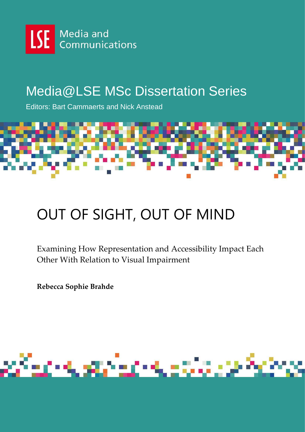

# Media@LSE MSc Dissertation Series

Editors: Bart Cammaerts and Nick Anstead



# OUT OF SIGHT, OUT OF MIND

Examining How Representation and Accessibility Impact Each Other With Relation to Visual Impairment

**Rebecca Sophie Brahde**

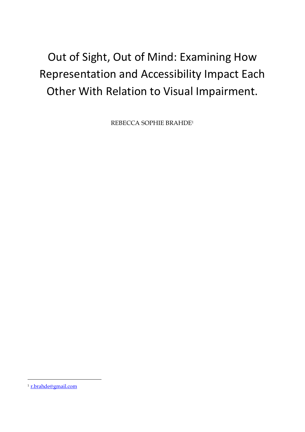# Out of Sight, Out of Mind: Examining How Representation and Accessibility Impact Each Other With Relation to Visual Impairment.

REBECCA SOPHIE BRAHDE<sup>1</sup>

l

<sup>1</sup> r.brahde@gmail.com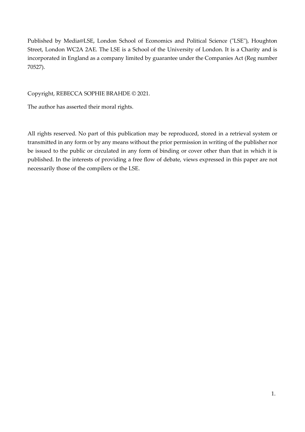Published by Media@LSE, London School of Economics and Political Science ("LSE"), Houghton Street, London WC2A 2AE. The LSE is a School of the University of London. It is a Charity and is incorporated in England as a company limited by guarantee under the Companies Act (Reg number 70527).

Copyright, REBECCA SOPHIE BRAHDE © 2021.

The author has asserted their moral rights.

All rights reserved. No part of this publication may be reproduced, stored in a retrieval system or transmitted in any form or by any means without the prior permission in writing of the publisher nor be issued to the public or circulated in any form of binding or cover other than that in which it is published. In the interests of providing a free flow of debate, views expressed in this paper are not necessarily those of the compilers or the LSE.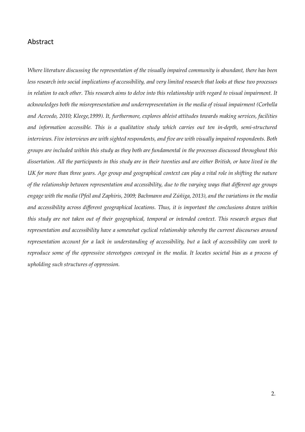# Abstract

*Where literature discussing the representation of the visually impaired community is abundant, there has been less research into social implications of accessibility, and very limited research that looks at these two processes in relation to each other. This research aims to delve into this relationship with regard to visual impairment. It acknowledges both the misrepresentation and underrepresentation in the media of visual impairment (Corbella and Acevedo, 2010; Kleege,1999). It, furthermore, explores ableist attitudes towards making services, facilities and information accessible. This is a qualitative study which carries out ten in-depth, semi-structured interviews. Five interviews are with sighted respondents, and five are with visually impaired respondents. Both groups are included within this study as they both are fundamental in the processes discussed throughout this dissertation. All the participants in this study are in their twenties and are either British, or have lived in the UK for more than three years. Age group and geographical context can play a vital role in shifting the nature of the relationship between representation and accessibility, due to the varying ways that different age groups engage with the media (Pfeil and Zaphiris, 2009; Bachmann and Zúñiga, 2013), and the variations in the media and accessibility across different geographical locations. Thus, it is important the conclusions drawn within this study are not taken out of their geographical, temporal or intended context. This research argues that representation and accessibility have a somewhat cyclical relationship whereby the current discourses around representation account for a lack in understanding of accessibility, but a lack of accessibility can work to reproduce some of the oppressive stereotypes conveyed in the media. It locates societal bias as a process of upholding such structures of oppression.*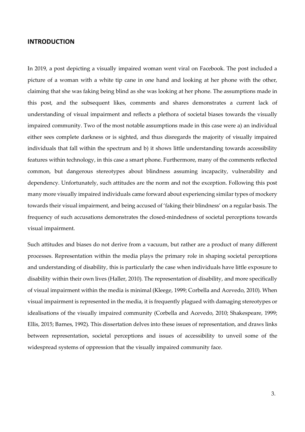#### **INTRODUCTION**

In 2019, a post depicting a visually impaired woman went viral on Facebook. The post included a picture of a woman with a white tip cane in one hand and looking at her phone with the other, claiming that she was faking being blind as she was looking at her phone. The assumptions made in this post, and the subsequent likes, comments and shares demonstrates a current lack of understanding of visual impairment and reflects a plethora of societal biases towards the visually impaired community. Two of the most notable assumptions made in this case were a) an individual either sees complete darkness or is sighted, and thus disregards the majority of visually impaired individuals that fall within the spectrum and b) it shows little understanding towards accessibility features within technology, in this case a smart phone. Furthermore, many of the comments reflected common, but dangerous stereotypes about blindness assuming incapacity, vulnerability and dependency. Unfortunately, such attitudes are the norm and not the exception. Following this post many more visually impaired individuals came forward about experiencing similar types of mockery towards their visual impairment, and being accused of 'faking their blindness' on a regular basis. The frequency of such accusations demonstrates the closed-mindedness of societal perceptions towards visual impairment.

Such attitudes and biases do not derive from a vacuum, but rather are a product of many different processes. Representation within the media plays the primary role in shaping societal perceptions and understanding of disability, this is particularly the case when individuals have little exposure to disability within their own lives (Haller, 2010). The representation of disability, and more specifically of visual impairment within the media is minimal (Kleege, 1999; Corbella and Acevedo, 2010). When visual impairment is represented in the media, it is frequently plagued with damaging stereotypes or idealisations of the visually impaired community (Corbella and Acevedo, 2010; Shakespeare, 1999; Ellis, 2015; Barnes, 1992). This dissertation delves into these issues of representation, and draws links between representation, societal perceptions and issues of accessibility to unveil some of the widespread systems of oppression that the visually impaired community face.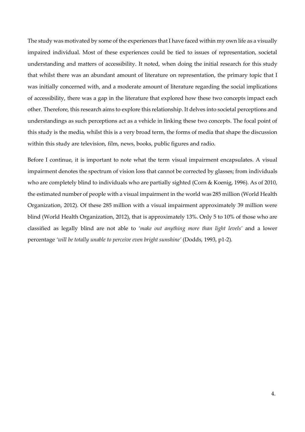The study was motivated by some of the experiences that I have faced within my own life as a visually impaired individual. Most of these experiences could be tied to issues of representation, societal understanding and matters of accessibility. It noted, when doing the initial research for this study that whilst there was an abundant amount of literature on representation, the primary topic that I was initially concerned with, and a moderate amount of literature regarding the social implications of accessibility, there was a gap in the literature that explored how these two concepts impact each other. Therefore, this research aims to explore this relationship. It delves into societal perceptions and understandings as such perceptions act as a vehicle in linking these two concepts. The focal point of this study is the media, whilst this is a very broad term, the forms of media that shape the discussion within this study are television, film, news, books, public figures and radio.

Before I continue, it is important to note what the term visual impairment encapsulates. A visual impairment denotes the spectrum of vision loss that cannot be corrected by glasses; from individuals who are completely blind to individuals who are partially sighted (Corn & Koenig, 1996). As of 2010, the estimated number of people with a visual impairment in the world was 285 million (World Health Organization, 2012). Of these 285 million with a visual impairment approximately 39 million were blind (World Health Organization, 2012), that is approximately 13%. Only 5 to 10% of those who are classified as legally blind are not able to *'make out anything more than light levels'* and a lower percentage *'will be totally unable to perceive even bright sunshine'* (Dodds, 1993, p1-2).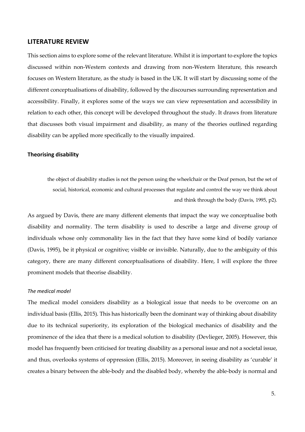#### **LITERATURE REVIEW**

This section aims to explore some of the relevant literature. Whilst it is important to explore the topics discussed within non-Western contexts and drawing from non-Western literature, this research focuses on Western literature, as the study is based in the UK. It will start by discussing some of the different conceptualisations of disability, followed by the discourses surrounding representation and accessibility. Finally, it explores some of the ways we can view representation and accessibility in relation to each other, this concept will be developed throughout the study. It draws from literature that discusses both visual impairment and disability, as many of the theories outlined regarding disability can be applied more specifically to the visually impaired.

#### **Theorising disability**

the object of disability studies is not the person using the wheelchair or the Deaf person, but the set of social, historical, economic and cultural processes that regulate and control the way we think about and think through the body (Davis, 1995, p2).

As argued by Davis, there are many different elements that impact the way we conceptualise both disability and normality. The term disability is used to describe a large and diverse group of individuals whose only commonality lies in the fact that they have some kind of bodily variance (Davis, 1995), be it physical or cognitive; visible or invisible. Naturally, due to the ambiguity of this category, there are many different conceptualisations of disability. Here, I will explore the three prominent models that theorise disability.

#### *The medical model*

The medical model considers disability as a biological issue that needs to be overcome on an individual basis (Ellis, 2015). This has historically been the dominant way of thinking about disability due to its technical superiority, its exploration of the biological mechanics of disability and the prominence of the idea that there is a medical solution to disability (Devlieger, 2005). However, this model has frequently been criticised for treating disability as a personal issue and not a societal issue, and thus, overlooks systems of oppression (Ellis, 2015). Moreover, in seeing disability as 'curable' it creates a binary between the able-body and the disabled body, whereby the able-body is normal and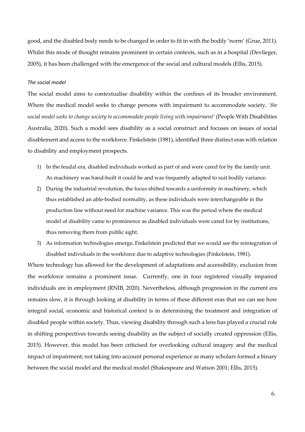good, and the disabled body needs to be changed in order to fit in with the bodily 'norm' (Grue, 2011). Whilst this mode of thought remains prominent in certain contexts, such as in a hospital (Devlieger, 2005), it has been challenged with the emergence of the social and cultural models (Ellis, 2015).

#### *The social model*

The social model aims to contextualise disability within the confines of its broader environment. Where the medical model seeks to change persons with impairment to accommodate society, *'the social model seeks to change society to accommodate people living with impairment'* (People With Disabilities Australia, 2020). Such a model sees disability as a social construct and focuses on issues of social disablement and access to the workforce. Finkelstein (1981), identified three distinct eras with relation to disability and employment prospects.

- 1) In the feudal era, disabled individuals worked as part of and were cared for by the family unit. As machinery was hand-built it could be and was frequently adapted to suit bodily variance.
- 2) During the industrial revolution, the focus shifted towards a uniformity in machinery, which thus established an able-bodied normality, as these individuals were interchangeable in the production line without need for machine variance. This was the period where the medical model of disability came to prominence as disabled individuals were cared for by institutions, thus removing them from public sight.
- 3) As information technologies emerge, Finkelstein predicted that we would see the reintegration of disabled individuals in the workforce due to adaptive technologies (Finkelstein, 1981).

Where technology has allowed for the development of adaptations and accessibility, exclusion from the workforce remains a prominent issue. Currently, one in four registered visually impaired individuals are in employment (RNIB, 2020). Nevertheless, although progression in the current era remains slow, it is through looking at disability in terms of these different eras that we can see how integral social, economic and historical context is in determining the treatment and integration of disabled people within society. Thus, viewing disability through such a lens has played a crucial role in shifting perspectives towards seeing disability as the subject of socially created oppression (Ellis, 2015). However, this model has been criticised for overlooking cultural imagery and the medical impact of impairment; not taking into account personal experience as many scholars formed a binary between the social model and the medical model (Shakespeare and Watson 2001; Ellis, 2015).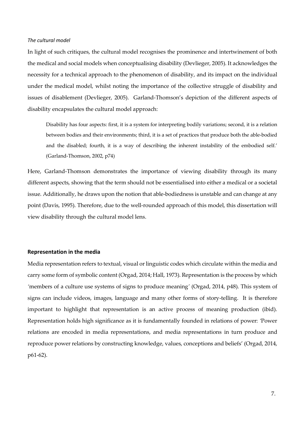#### *The cultural model*

In light of such critiques, the cultural model recognises the prominence and intertwinement of both the medical and social models when conceptualising disability (Devlieger, 2005). It acknowledges the necessity for a technical approach to the phenomenon of disability, and its impact on the individual under the medical model, whilst noting the importance of the collective struggle of disability and issues of disablement (Devlieger, 2005). Garland-Thomson's depiction of the different aspects of disability encapsulates the cultural model approach:

Disability has four aspects: first, it is a system for interpreting bodily variations; second, it is a relation between bodies and their environments; third, it is a set of practices that produce both the able-bodied and the disabled; fourth, it is a way of describing the inherent instability of the embodied self.' (Garland-Thomson, 2002, p74)

Here, Garland-Thomson demonstrates the importance of viewing disability through its many different aspects, showing that the term should not be essentialised into either a medical or a societal issue. Additionally, he draws upon the notion that able-bodiedness is unstable and can change at any point (Davis, 1995). Therefore, due to the well-rounded approach of this model, this dissertation will view disability through the cultural model lens.

#### **Representation in the media**

Media representation refers to textual, visual or linguistic codes which circulate within the media and carry some form of symbolic content (Orgad, 2014; Hall, 1973). Representation is the process by which *'*members of a culture use systems of signs to produce meaning*'* (Orgad, 2014, p48). This system of signs can include videos, images, language and many other forms of story-telling. It is therefore important to highlight that representation is an active process of meaning production (ibid). Representation holds high significance as it is fundamentally founded in relations of power: *'*Power relations are encoded in media representations, and media representations in turn produce and reproduce power relations by constructing knowledge, values, conceptions and beliefs' (Orgad, 2014, p61-62).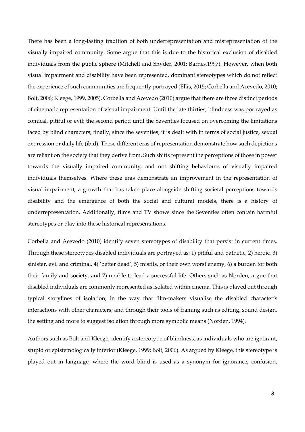There has been a long-lasting tradition of both underrepresentation and misrepresentation of the visually impaired community. Some argue that this is due to the historical exclusion of disabled individuals from the public sphere (Mitchell and Snyder, 2001; Barnes,1997). However, when both visual impairment and disability have been represented, dominant stereotypes which do not reflect the experience of such communities are frequently portrayed (Ellis, 2015; Corbella and Acevedo, 2010; Bolt, 2006; Kleege, 1999, 2005). Corbella and Acevedo (2010) argue that there are three distinct periods of cinematic representation of visual impairment. Until the late thirties, blindness was portrayed as comical, pitiful or evil; the second period until the Seventies focused on overcoming the limitations faced by blind characters; finally, since the seventies, it is dealt with in terms of social justice, sexual expression or daily life (ibid). These different eras of representation demonstrate how such depictions are reliant on the society that they derive from. Such shifts represent the perceptions of those in power towards the visually impaired community, and not shifting behaviours of visually impaired individuals themselves. Where these eras demonstrate an improvement in the representation of visual impairment, a growth that has taken place alongside shifting societal perceptions towards disability and the emergence of both the social and cultural models, there is a history of underrepresentation. Additionally, films and TV shows since the Seventies often contain harmful stereotypes or play into these historical representations.

Corbella and Acevedo (2010) identify seven stereotypes of disability that persist in current times. Through these stereotypes disabled individuals are portrayed as: 1) pitiful and pathetic, 2) heroic, 3) sinister, evil and criminal, 4) 'better dead', 5) misfits, or their own worst enemy, 6) a burden for both their family and society, and 7) unable to lead a successful life. Others such as Norden, argue that disabled individuals are commonly represented as isolated within cinema. This is played out through typical storylines of isolation; in the way that film-makers visualise the disabled character's interactions with other characters; and through their tools of framing such as editing, sound design, the setting and more to suggest isolation through more symbolic means (Norden, 1994).

Authors such as Bolt and Kleege, identify a stereotype of blindness, as individuals who are ignorant, stupid or epistemologically inferior (Kleege, 1999; Bolt, 2006). As argued by Kleege, this stereotype is played out in language, where the word blind is used as a synonym for ignorance, confusion,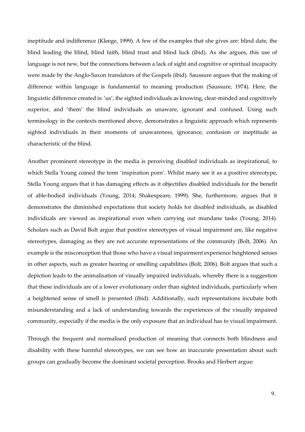ineptitude and indifference (Kleege, 1999). A few of the examples that she gives are: blind date, the blind leading the blind, blind faith, blind trust and blind luck (ibid). As she argues, this use of language is not new, but the connections between a lack of sight and cognitive or spiritual incapacity were made by the Anglo-Saxon translators of the Gospels (ibid). Saussure argues that the making of difference within language is fundamental to meaning production (Saussure, 1974). Here, the linguistic difference created is: 'us', the sighted individuals as knowing, clear-minded and cognitively superior, and 'them' the blind individuals as unaware, ignorant and confused. Using such terminology in the contexts mentioned above, demonstrates a linguistic approach which represents sighted individuals in their moments of unawareness, ignorance, confusion or ineptitude as characteristic of the blind.

Another prominent stereotype in the media is perceiving disabled individuals as inspirational, to which Stella Young coined the term 'inspiration porn'. Whilst many see it as a positive stereotype, Stella Young argues that it has damaging effects as it objectifies disabled individuals for the benefit of able-bodied individuals (Young, 2014; Shakespeare, 1999). She, furthermore, argues that it demonstrates the diminished expectations that society holds for disabled individuals, as disabled individuals are viewed as inspirational even when carrying out mundane tasks (Young, 2014). Scholars such as David Bolt argue that positive stereotypes of visual impairment are, like negative stereotypes, damaging as they are not accurate representations of the community (Bolt, 2006). An example is the misconception that those who have a visual impairment experience heightened senses in other aspects, such as greater hearing or smelling capabilities (Bolt, 2006). Bolt argues that such a depiction leads to the animalisation of visually impaired individuals, whereby there is a suggestion that these individuals are of a lower evolutionary order than sighted individuals, particularly when a heightened sense of smell is presented (ibid). Additionally, such representations incubate both misunderstanding and a lack of understanding towards the experiences of the visually impaired community, especially if the media is the only exposure that an individual has to visual impairment.

Through the frequent and normalised production of meaning that connects both blindness and disability with these harmful stereotypes, we can see how an inaccurate presentation about such groups can gradually become the dominant societal perception. Brooks and Herbert argue: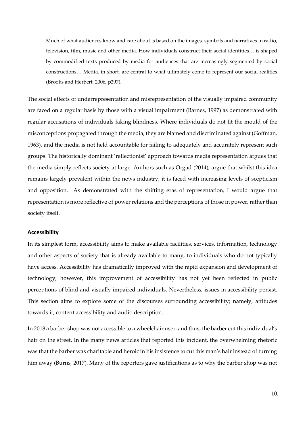Much of what audiences know and care about is based on the images, symbols and narratives in radio, television, film, music and other media. How individuals construct their social identities… is shaped by commodified texts produced by media for audiences that are increasingly segmented by social constructions… Media, in short, are central to what ultimately come to represent our social realities (Brooks and Herbert, 2006, p297).

The social effects of underrepresentation and misrepresentation of the visually impaired community are faced on a regular basis by those with a visual impairment (Barnes, 1997) as demonstrated with regular accusations of individuals faking blindness. Where individuals do not fit the mould of the misconceptions propagated through the media, they are blamed and discriminated against (Goffman, 1963), and the media is not held accountable for failing to adequately and accurately represent such groups. The historically dominant 'reflectionist' approach towards media representation argues that the media simply reflects society at large. Authors such as Orgad (2014), argue that whilst this idea remains largely prevalent within the news industry, it is faced with increasing levels of scepticism and opposition. As demonstrated with the shifting eras of representation, I would argue that representation is more reflective of power relations and the perceptions of those in power, rather than society itself.

#### **Accessibility**

In its simplest form, accessibility aims to make available facilities, services, information, technology and other aspects of society that is already available to many, to individuals who do not typically have access. Accessibility has dramatically improved with the rapid expansion and development of technology; however, this improvement of accessibility has not yet been reflected in public perceptions of blind and visually impaired individuals. Nevertheless, issues in accessibility persist. This section aims to explore some of the discourses surrounding accessibility; namely, attitudes towards it, content accessibility and audio description.

In 2018 a barber shop was not accessible to a wheelchair user, and thus, the barber cut this individual's hair on the street. In the many news articles that reported this incident, the overwhelming rhetoric was that the barber was charitable and heroic in his insistence to cut this man's hair instead of turning him away (Burns, 2017). Many of the reporters gave justifications as to why the barber shop was not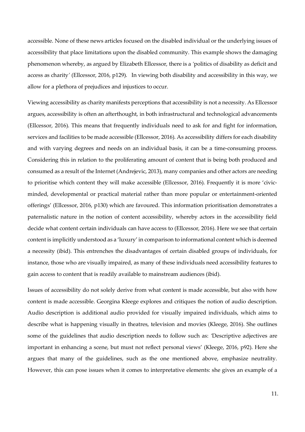accessible. None of these news articles focused on the disabled individual or the underlying issues of accessibility that place limitations upon the disabled community. This example shows the damaging phenomenon whereby, as argued by Elizabeth Ellcessor, there is a *'*politics of disability as deficit and access as charity*'* (Ellcessor, 2016, p129). In viewing both disability and accessibility in this way, we allow for a plethora of prejudices and injustices to occur.

Viewing accessibility as charity manifests perceptions that accessibility is not a necessity. As Ellcessor argues, accessibility is often an afterthought, in both infrastructural and technological advancements (Ellcessor, 2016). This means that frequently individuals need to ask for and fight for information, services and facilities to be made accessible (Ellcessor, 2016). As accessibility differs for each disability and with varying degrees and needs on an individual basis, it can be a time-consuming process. Considering this in relation to the proliferating amount of content that is being both produced and consumed as a result of the Internet (Andrejevic, 2013), many companies and other actors are needing to prioritise which content they will make accessible (Ellcessor, 2016). Frequently it is more 'civicminded, developmental or practical material rather than more popular or entertainment-oriented offerings' (Ellcessor, 2016, p130) which are favoured. This information prioritisation demonstrates a paternalistic nature in the notion of content accessibility, whereby actors in the accessibility field decide what content certain individuals can have access to (Ellcessor, 2016). Here we see that certain content is implicitly understood as a 'luxury' in comparison to informational content which is deemed a necessity (ibid). This entrenches the disadvantages of certain disabled groups of individuals, for instance, those who are visually impaired, as many of these individuals need accessibility features to gain access to content that is readily available to mainstream audiences (ibid).

Issues of accessibility do not solely derive from what content is made accessible, but also with how content is made accessible. Georgina Kleege explores and critiques the notion of audio description. Audio description is additional audio provided for visually impaired individuals, which aims to describe what is happening visually in theatres, television and movies (Kleege, 2016). She outlines some of the guidelines that audio description needs to follow such as: *'*Descriptive adjectives are important in enhancing a scene, but must not reflect personal views' (Kleege, 2016, p92). Here she argues that many of the guidelines, such as the one mentioned above, emphasize neutrality. However, this can pose issues when it comes to interpretative elements: she gives an example of a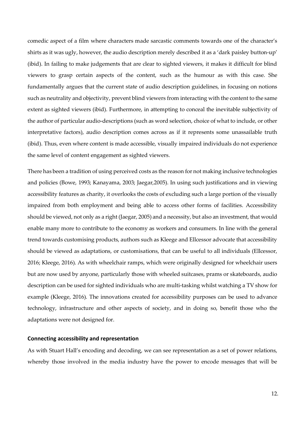comedic aspect of a film where characters made sarcastic comments towards one of the character's shirts as it was ugly, however, the audio description merely described it as a 'dark paisley button-up' (ibid). In failing to make judgements that are clear to sighted viewers, it makes it difficult for blind viewers to grasp certain aspects of the content, such as the humour as with this case. She fundamentally argues that the current state of audio description guidelines, in focusing on notions such as neutrality and objectivity, prevent blind viewers from interacting with the content to the same extent as sighted viewers (ibid). Furthermore, in attempting to conceal the inevitable subjectivity of the author of particular audio-descriptions (such as word selection, choice of what to include, or other interpretative factors), audio description comes across as if it represents some unassailable truth (ibid). Thus, even where content is made accessible, visually impaired individuals do not experience the same level of content engagement as sighted viewers.

There has been a tradition of using perceived costs as the reason for not making inclusive technologies and policies (Bowe, 1993; Kanayama, 2003; Jaegar,2005). In using such justifications and in viewing accessibility features as charity, it overlooks the costs of excluding such a large portion of the visually impaired from both employment and being able to access other forms of facilities. Accessibility should be viewed, not only as a right (Jaegar, 2005) and a necessity, but also an investment, that would enable many more to contribute to the economy as workers and consumers. In line with the general trend towards customising products, authors such as Kleege and Ellcessor advocate that accessibility should be viewed as adaptations, or customisations, that can be useful to all individuals (Ellcessor, 2016; Kleege, 2016). As with wheelchair ramps, which were originally designed for wheelchair users but are now used by anyone, particularly those with wheeled suitcases, prams or skateboards, audio description can be used for sighted individuals who are multi-tasking whilst watching a TV show for example (Kleege, 2016). The innovations created for accessibility purposes can be used to advance technology, infrastructure and other aspects of society, and in doing so, benefit those who the adaptations were not designed for.

#### **Connecting accessibility and representation**

As with Stuart Hall's encoding and decoding, we can see representation as a set of power relations, whereby those involved in the media industry have the power to encode messages that will be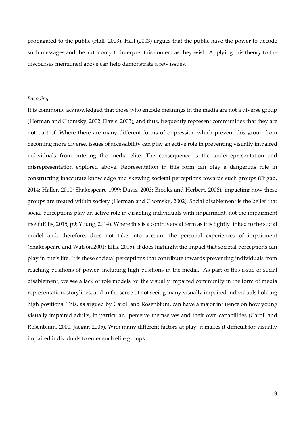propagated to the public (Hall, 2003). Hall (2003) argues that the public have the power to decode such messages and the autonomy to interpret this content as they wish. Applying this theory to the discourses mentioned above can help demonstrate a few issues.

#### *Encoding*

It is commonly acknowledged that those who encode meanings in the media are not a diverse group (Herman and Chomsky, 2002; Davis, 2003), and thus, frequently represent communities that they are not part of. Where there are many different forms of oppression which prevent this group from becoming more diverse, issues of accessibility can play an active role in preventing visually impaired individuals from entering the media elite. The consequence is the underrepresentation and misrepresentation explored above. Representation in this form can play a dangerous role in constructing inaccurate knowledge and skewing societal perceptions towards such groups (Orgad, 2014; Haller, 2010; Shakespeare 1999; Davis, 2003; Brooks and Herbert, 2006), impacting how these groups are treated within society (Herman and Chomsky, 2002). Social disablement is the belief that social perceptions play an active role in disabling individuals with impairment, not the impairment itself (Ellis, 2015, p9; Young, 2014). Where this is a controversial term as it is tightly linked to the social model and, therefore, does not take into account the personal experiences of impairment (Shakespeare and Watson,2001; Ellis, 2015), it does highlight the impact that societal perceptions can play in one's life. It is these societal perceptions that contribute towards preventing individuals from reaching positions of power, including high positions in the media. As part of this issue of social disablement, we see a lack of role models for the visually impaired community in the form of media representation, storylines, and in the sense of not seeing many visually impaired individuals holding high positions. This, as argued by Caroll and Rosenblum, can have a major influence on how young visually impaired adults, in particular, perceive themselves and their own capabilities (Caroll and Rosenblum, 2000, Jaegar, 2005). With many different factors at play, it makes it difficult for visually impaired individuals to enter such elite groups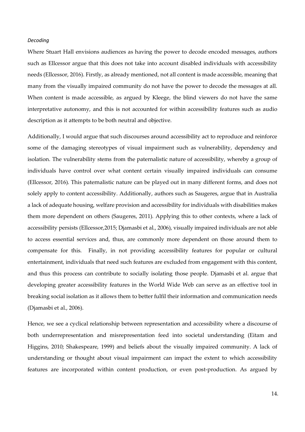#### *Decoding*

Where Stuart Hall envisions audiences as having the power to decode encoded messages, authors such as Ellcessor argue that this does not take into account disabled individuals with accessibility needs (Ellcessor, 2016). Firstly, as already mentioned, not all content is made accessible, meaning that many from the visually impaired community do not have the power to decode the messages at all. When content is made accessible, as argued by Kleege, the blind viewers do not have the same interpretative autonomy, and this is not accounted for within accessibility features such as audio description as it attempts to be both neutral and objective.

Additionally, I would argue that such discourses around accessibility act to reproduce and reinforce some of the damaging stereotypes of visual impairment such as vulnerability, dependency and isolation. The vulnerability stems from the paternalistic nature of accessibility, whereby a group of individuals have control over what content certain visually impaired individuals can consume (Ellcessor, 2016). This paternalistic nature can be played out in many different forms, and does not solely apply to content accessibility. Additionally, authors such as Saugeres, argue that in Australia a lack of adequate housing, welfare provision and accessibility for individuals with disabilities makes them more dependent on others (Saugeres, 2011). Applying this to other contexts, where a lack of accessibility persists (Ellcessor,2015; Djamasbi et al., 2006), visually impaired individuals are not able to access essential services and, thus, are commonly more dependent on those around them to compensate for this. Finally, in not providing accessibility features for popular or cultural entertainment, individuals that need such features are excluded from engagement with this content, and thus this process can contribute to socially isolating those people. Djamasbi et al. argue that developing greater accessibility features in the World Wide Web can serve as an effective tool in breaking social isolation as it allows them to better fulfil their information and communication needs (Djamasbi et al., 2006).

Hence, we see a cyclical relationship between representation and accessibility where a discourse of both underrepresentation and misrepresentation feed into societal understanding (Eitam and Higgins, 2010; Shakespeare, 1999) and beliefs about the visually impaired community. A lack of understanding or thought about visual impairment can impact the extent to which accessibility features are incorporated within content production, or even post-production. As argued by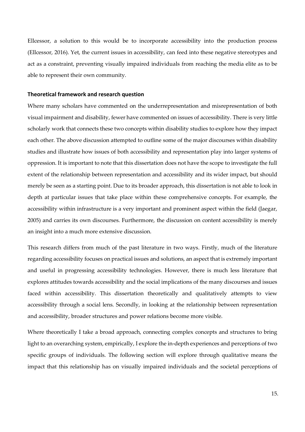Ellcessor, a solution to this would be to incorporate accessibility into the production process (Ellcessor, 2016). Yet, the current issues in accessibility, can feed into these negative stereotypes and act as a constraint, preventing visually impaired individuals from reaching the media elite as to be able to represent their own community.

#### **Theoretical framework and research question**

Where many scholars have commented on the underrepresentation and misrepresentation of both visual impairment and disability, fewer have commented on issues of accessibility. There is very little scholarly work that connects these two concepts within disability studies to explore how they impact each other. The above discussion attempted to outline some of the major discourses within disability studies and illustrate how issues of both accessibility and representation play into larger systems of oppression. It is important to note that this dissertation does not have the scope to investigate the full extent of the relationship between representation and accessibility and its wider impact, but should merely be seen as a starting point. Due to its broader approach, this dissertation is not able to look in depth at particular issues that take place within these comprehensive concepts. For example, the accessibility within infrastructure is a very important and prominent aspect within the field (Jaegar, 2005) and carries its own discourses. Furthermore, the discussion on content accessibility is merely an insight into a much more extensive discussion.

This research differs from much of the past literature in two ways. Firstly, much of the literature regarding accessibility focuses on practical issues and solutions, an aspect that is extremely important and useful in progressing accessibility technologies. However, there is much less literature that explores attitudes towards accessibility and the social implications of the many discourses and issues faced within accessibility. This dissertation theoretically and qualitatively attempts to view accessibility through a social lens. Secondly, in looking at the relationship between representation and accessibility, broader structures and power relations become more visible.

Where theoretically I take a broad approach, connecting complex concepts and structures to bring light to an overarching system, empirically, I explore the in-depth experiences and perceptions of two specific groups of individuals. The following section will explore through qualitative means the impact that this relationship has on visually impaired individuals and the societal perceptions of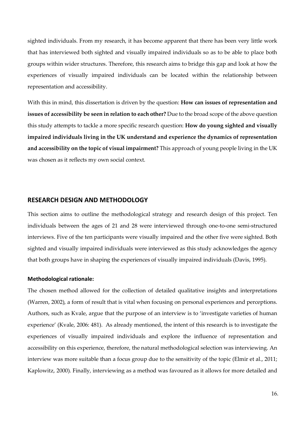sighted individuals. From my research, it has become apparent that there has been very little work that has interviewed both sighted and visually impaired individuals so as to be able to place both groups within wider structures. Therefore, this research aims to bridge this gap and look at how the experiences of visually impaired individuals can be located within the relationship between representation and accessibility.

With this in mind, this dissertation is driven by the question: **How can issues of representation and issues of accessibility be seen in relation to each other?** Due to the broad scope of the above question this study attempts to tackle a more specific research question: **How do young sighted and visually impaired individuals living in the UK understand and experience the dynamics of representation and accessibility on the topic of visual impairment?** This approach of young people living in the UK was chosen as it reflects my own social context.

# **RESEARCH DESIGN AND METHODOLOGY**

This section aims to outline the methodological strategy and research design of this project. Ten individuals between the ages of 21 and 28 were interviewed through one-to-one semi-structured interviews. Five of the ten participants were visually impaired and the other five were sighted. Both sighted and visually impaired individuals were interviewed as this study acknowledges the agency that both groups have in shaping the experiences of visually impaired individuals (Davis, 1995).

#### **Methodological rationale:**

The chosen method allowed for the collection of detailed qualitative insights and interpretations (Warren, 2002), a form of result that is vital when focusing on personal experiences and perceptions. Authors, such as Kvale, argue that the purpose of an interview is to 'investigate varieties of human experience' (Kvale, 2006: 481). As already mentioned, the intent of this research is to investigate the experiences of visually impaired individuals and explore the influence of representation and accessibility on this experience, therefore, the natural methodological selection was interviewing. An interview was more suitable than a focus group due to the sensitivity of the topic (Elmir et al., 2011; Kaplowitz, 2000). Finally, interviewing as a method was favoured as it allows for more detailed and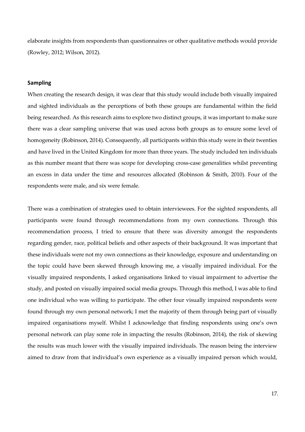elaborate insights from respondents than questionnaires or other qualitative methods would provide (Rowley, 2012; Wilson, 2012).

# **Sampling**

When creating the research design, it was clear that this study would include both visually impaired and sighted individuals as the perceptions of both these groups are fundamental within the field being researched. As this research aims to explore two distinct groups, it was important to make sure there was a clear sampling universe that was used across both groups as to ensure some level of homogeneity (Robinson, 2014). Consequently, all participants within this study were in their twenties and have lived in the United Kingdom for more than three years. The study included ten individuals as this number meant that there was scope for developing cross-case generalities whilst preventing an excess in data under the time and resources allocated (Robinson & Smith, 2010). Four of the respondents were male, and six were female.

There was a combination of strategies used to obtain interviewees. For the sighted respondents, all participants were found through recommendations from my own connections. Through this recommendation process, I tried to ensure that there was diversity amongst the respondents regarding gender, race, political beliefs and other aspects of their background. It was important that these individuals were not my own connections as their knowledge, exposure and understanding on the topic could have been skewed through knowing me, a visually impaired individual. For the visually impaired respondents, I asked organisations linked to visual impairment to advertise the study, and posted on visually impaired social media groups. Through this method, I was able to find one individual who was willing to participate. The other four visually impaired respondents were found through my own personal network; I met the majority of them through being part of visually impaired organisations myself. Whilst I acknowledge that finding respondents using one's own personal network can play some role in impacting the results (Robinson, 2014), the risk of skewing the results was much lower with the visually impaired individuals. The reason being the interview aimed to draw from that individual's own experience as a visually impaired person which would,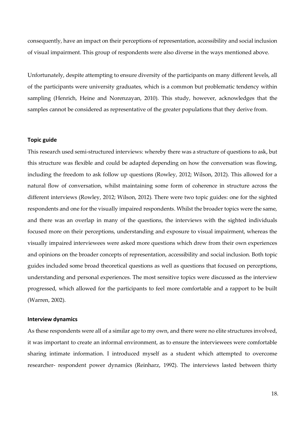consequently, have an impact on their perceptions of representation, accessibility and social inclusion of visual impairment. This group of respondents were also diverse in the ways mentioned above.

Unfortunately, despite attempting to ensure diversity of the participants on many different levels, all of the participants were university graduates, which is a common but problematic tendency within sampling (Henrich, Heine and Norenzayan, 2010). This study, however, acknowledges that the samples cannot be considered as representative of the greater populations that they derive from.

#### **Topic guide**

This research used semi-structured interviews: whereby there was a structure of questions to ask, but this structure was flexible and could be adapted depending on how the conversation was flowing, including the freedom to ask follow up questions (Rowley, 2012; Wilson, 2012). This allowed for a natural flow of conversation, whilst maintaining some form of coherence in structure across the different interviews (Rowley, 2012; Wilson, 2012). There were two topic guides: one for the sighted respondents and one for the visually impaired respondents. Whilst the broader topics were the same, and there was an overlap in many of the questions, the interviews with the sighted individuals focused more on their perceptions, understanding and exposure to visual impairment, whereas the visually impaired interviewees were asked more questions which drew from their own experiences and opinions on the broader concepts of representation, accessibility and social inclusion. Both topic guides included some broad theoretical questions as well as questions that focused on perceptions, understanding and personal experiences. The most sensitive topics were discussed as the interview progressed, which allowed for the participants to feel more comfortable and a rapport to be built (Warren, 2002).

#### **Interview dynamics**

As these respondents were all of a similar age to my own, and there were no elite structures involved, it was important to create an informal environment, as to ensure the interviewees were comfortable sharing intimate information. I introduced myself as a student which attempted to overcome researcher- respondent power dynamics (Reinharz, 1992). The interviews lasted between thirty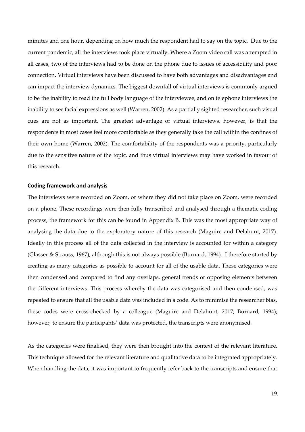minutes and one hour, depending on how much the respondent had to say on the topic. Due to the current pandemic, all the interviews took place virtually. Where a Zoom video call was attempted in all cases, two of the interviews had to be done on the phone due to issues of accessibility and poor connection. Virtual interviews have been discussed to have both advantages and disadvantages and can impact the interview dynamics. The biggest downfall of virtual interviews is commonly argued to be the inability to read the full body language of the interviewee, and on telephone interviews the inability to see facial expressions as well (Warren, 2002). As a partially sighted researcher, such visual cues are not as important. The greatest advantage of virtual interviews, however, is that the respondents in most cases feel more comfortable as they generally take the call within the confines of their own home (Warren, 2002). The comfortability of the respondents was a priority, particularly due to the sensitive nature of the topic, and thus virtual interviews may have worked in favour of this research.

#### **Coding framework and analysis**

The interviews were recorded on Zoom, or where they did not take place on Zoom, were recorded on a phone. These recordings were then fully transcribed and analysed through a thematic coding process, the framework for this can be found in Appendix B. This was the most appropriate way of analysing the data due to the exploratory nature of this research (Maguire and Delahunt, 2017). Ideally in this process all of the data collected in the interview is accounted for within a category (Glasser & Strauss, 1967), although this is not always possible (Burnard, 1994). I therefore started by creating as many categories as possible to account for all of the usable data. These categories were then condensed and compared to find any overlaps, general trends or opposing elements between the different interviews. This process whereby the data was categorised and then condensed, was repeated to ensure that all the usable data was included in a code. As to minimise the researcher bias, these codes were cross-checked by a colleague (Maguire and Delahunt, 2017; Burnard, 1994); however, to ensure the participants' data was protected, the transcripts were anonymised.

As the categories were finalised, they were then brought into the context of the relevant literature. This technique allowed for the relevant literature and qualitative data to be integrated appropriately. When handling the data, it was important to frequently refer back to the transcripts and ensure that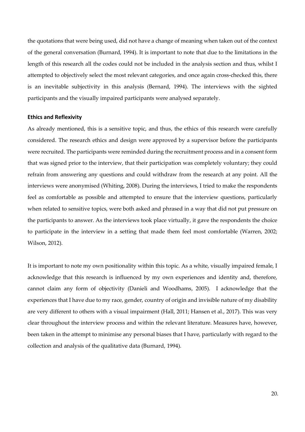the quotations that were being used, did not have a change of meaning when taken out of the context of the general conversation (Burnard, 1994). It is important to note that due to the limitations in the length of this research all the codes could not be included in the analysis section and thus, whilst I attempted to objectively select the most relevant categories, and once again cross-checked this, there is an inevitable subjectivity in this analysis (Bernard, 1994). The interviews with the sighted participants and the visually impaired participants were analysed separately.

#### **Ethics and Reflexivity**

As already mentioned, this is a sensitive topic, and thus, the ethics of this research were carefully considered. The research ethics and design were approved by a supervisor before the participants were recruited. The participants were reminded during the recruitment process and in a consent form that was signed prior to the interview, that their participation was completely voluntary; they could refrain from answering any questions and could withdraw from the research at any point. All the interviews were anonymised (Whiting, 2008). During the interviews, I tried to make the respondents feel as comfortable as possible and attempted to ensure that the interview questions, particularly when related to sensitive topics, were both asked and phrased in a way that did not put pressure on the participants to answer. As the interviews took place virtually, it gave the respondents the choice to participate in the interview in a setting that made them feel most comfortable (Warren, 2002; Wilson, 2012).

It is important to note my own positionality within this topic. As a white, visually impaired female, I acknowledge that this research is influenced by my own experiences and identity and, therefore, cannot claim any form of objectivity (Danieli and Woodhams, 2005). I acknowledge that the experiences that I have due to my race, gender, country of origin and invisible nature of my disability are very different to others with a visual impairment (Hall, 2011; Hansen et al., 2017). This was very clear throughout the interview process and within the relevant literature. Measures have, however, been taken in the attempt to minimise any personal biases that I have, particularly with regard to the collection and analysis of the qualitative data (Burnard, 1994).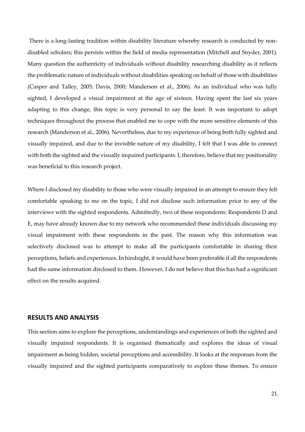There is a long-lasting tradition within disability literature whereby research is conducted by nondisabled scholars; this persists within the field of media representation (Mitchell and Snyder, 2001). Many question the authenticity of individuals without disability researching disability as it reflects the problematic nature of individuals without disabilities speaking on behalf of those with disabilities (Casper and Talley, 2005; Davis, 2000; Manderson et al., 2006). As an individual who was fully sighted, I developed a visual impairment at the age of sixteen. Having spent the last six years adapting to this change, this topic is very personal to say the least. It was important to adopt techniques throughout the process that enabled me to cope with the more sensitive elements of this research (Manderson et al., 2006). Nevertheless, due to my experience of being both fully sighted and visually impaired, and due to the invisible nature of my disability, I felt that I was able to connect with both the sighted and the visually impaired participants. I, therefore, believe that my positionality was beneficial to this research project.

Where I disclosed my disability to those who were visually impaired in an attempt to ensure they felt comfortable speaking to me on the topic, I did not disclose such information prior to any of the interviews with the sighted respondents. Admittedly, two of these respondents: Respondents D and E, may have already known due to my network who recommended these individuals discussing my visual impairment with these respondents in the past. The reason why this information was selectively disclosed was to attempt to make all the participants comfortable in sharing their perceptions, beliefs and experiences. In hindsight, it would have been preferable if all the respondents had the same information disclosed to them. However, I do not believe that this has had a significant effect on the results acquired.

### **RESULTS AND ANALYSIS**

This section aims to explore the perceptions, understandings and experiences of both the sighted and visually impaired respondents. It is organised thematically and explores the ideas of visual impairment as being hidden, societal perceptions and accessibility. It looks at the responses from the visually impaired and the sighted participants comparatively to explore these themes. To ensure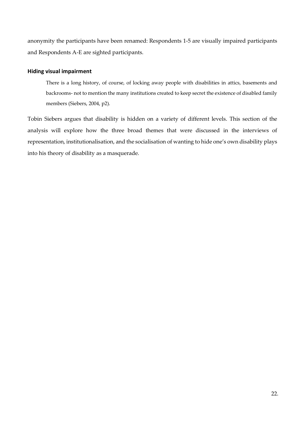anonymity the participants have been renamed: Respondents 1-5 are visually impaired participants and Respondents A-E are sighted participants.

### **Hiding visual impairment**

There is a long history, of course, of locking away people with disabilities in attics, basements and backrooms- not to mention the many institutions created to keep secret the existence of disabled family members (Siebers, 2004, p2).

Tobin Siebers argues that disability is hidden on a variety of different levels. This section of the analysis will explore how the three broad themes that were discussed in the interviews of representation, institutionalisation, and the socialisation of wanting to hide one's own disability plays into his theory of disability as a masquerade.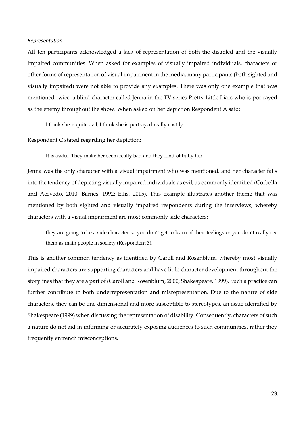#### *Representation*

All ten participants acknowledged a lack of representation of both the disabled and the visually impaired communities. When asked for examples of visually impaired individuals, characters or other forms of representation of visual impairment in the media, many participants (both sighted and visually impaired) were not able to provide any examples. There was only one example that was mentioned twice: a blind character called Jenna in the TV series Pretty Little Liars who is portrayed as the enemy throughout the show. When asked on her depiction Respondent A said:

I think she is quite evil, I think she is portrayed really nastily.

Respondent C stated regarding her depiction:

It is awful. They make her seem really bad and they kind of bully her.

Jenna was the only character with a visual impairment who was mentioned, and her character falls into the tendency of depicting visually impaired individuals as evil, as commonly identified (Corbella and Acevedo, 2010; Barnes, 1992; Ellis, 2015). This example illustrates another theme that was mentioned by both sighted and visually impaired respondents during the interviews, whereby characters with a visual impairment are most commonly side characters:

they are going to be a side character so you don't get to learn of their feelings or you don't really see them as main people in society (Respondent 3).

This is another common tendency as identified by Caroll and Rosenblum, whereby most visually impaired characters are supporting characters and have little character development throughout the storylines that they are a part of (Caroll and Rosenblum, 2000; Shakespeare, 1999). Such a practice can further contribute to both underrepresentation and misrepresentation. Due to the nature of side characters, they can be one dimensional and more susceptible to stereotypes, an issue identified by Shakespeare (1999) when discussing the representation of disability. Consequently, characters of such a nature do not aid in informing or accurately exposing audiences to such communities, rather they frequently entrench misconceptions.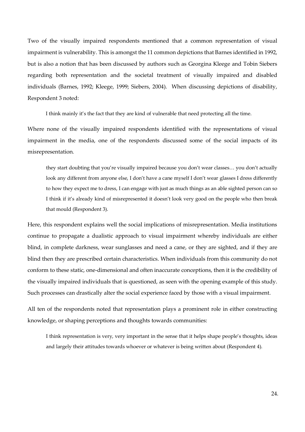Two of the visually impaired respondents mentioned that a common representation of visual impairment is vulnerability. This is amongst the 11 common depictions that Barnes identified in 1992, but is also a notion that has been discussed by authors such as Georgina Kleege and Tobin Siebers regarding both representation and the societal treatment of visually impaired and disabled individuals (Barnes, 1992; Kleege, 1999; Siebers, 2004). When discussing depictions of disability, Respondent 3 noted:

I think mainly it's the fact that they are kind of vulnerable that need protecting all the time.

Where none of the visually impaired respondents identified with the representations of visual impairment in the media, one of the respondents discussed some of the social impacts of its misrepresentation.

they start doubting that you're visually impaired because you don't wear classes… you don't actually look any different from anyone else, I don't have a cane myself I don't wear glasses I dress differently to how they expect me to dress, I can engage with just as much things as an able sighted person can so I think if it's already kind of misrepresented it doesn't look very good on the people who then break that mould (Respondent 3).

Here, this respondent explains well the social implications of misrepresentation. Media institutions continue to propagate a dualistic approach to visual impairment whereby individuals are either blind, in complete darkness, wear sunglasses and need a cane, or they are sighted, and if they are blind then they are prescribed certain characteristics. When individuals from this community do not conform to these static, one-dimensional and often inaccurate conceptions, then it is the credibility of the visually impaired individuals that is questioned, as seen with the opening example of this study. Such processes can drastically alter the social experience faced by those with a visual impairment.

All ten of the respondents noted that representation plays a prominent role in either constructing knowledge, or shaping perceptions and thoughts towards communities:

I think representation is very, very important in the sense that it helps shape people's thoughts, ideas and largely their attitudes towards whoever or whatever is being written about (Respondent 4).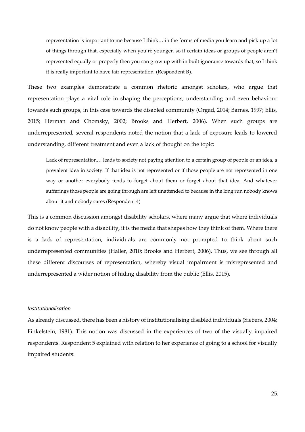representation is important to me because I think… in the forms of media you learn and pick up a lot of things through that, especially when you're younger, so if certain ideas or groups of people aren't represented equally or properly then you can grow up with in built ignorance towards that, so I think it is really important to have fair representation. (Respondent B).

These two examples demonstrate a common rhetoric amongst scholars, who argue that representation plays a vital role in shaping the perceptions, understanding and even behaviour towards such groups, in this case towards the disabled community (Orgad, 2014; Barnes, 1997; Ellis, 2015; Herman and Chomsky, 2002; Brooks and Herbert, 2006). When such groups are underrepresented, several respondents noted the notion that a lack of exposure leads to lowered understanding, different treatment and even a lack of thought on the topic:

Lack of representation… leads to society not paying attention to a certain group of people or an idea, a prevalent idea in society. If that idea is not represented or if those people are not represented in one way or another everybody tends to forget about them or forget about that idea. And whatever sufferings those people are going through are left unattended to because in the long run nobody knows about it and nobody cares (Respondent 4)

This is a common discussion amongst disability scholars, where many argue that where individuals do not know people with a disability, it is the media that shapes how they think of them. Where there is a lack of representation, individuals are commonly not prompted to think about such underrepresented communities (Haller, 2010; Brooks and Herbert, 2006). Thus, we see through all these different discourses of representation, whereby visual impairment is misrepresented and underrepresented a wider notion of hiding disability from the public (Ellis, 2015).

#### *Institutionalisation*

As already discussed, there has been a history of institutionalising disabled individuals (Siebers, 2004; Finkelstein, 1981). This notion was discussed in the experiences of two of the visually impaired respondents. Respondent 5 explained with relation to her experience of going to a school for visually impaired students: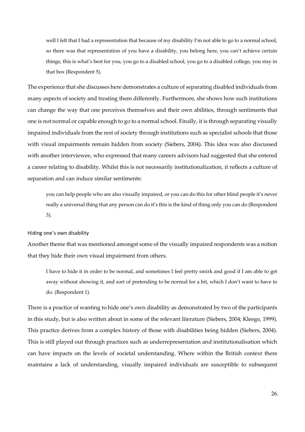well I felt that I had a representation that because of my disability I'm not able to go to a normal school, so there was that representation of you have a disability, you belong here, you can't achieve certain things, this is what's best for you, you go to a disabled school, you go to a disabled college, you stay in that box (Respondent 5).

The experience that she discusses here demonstrates a culture of separating disabled individuals from many aspects of society and treating them differently. Furthermore, she shows how such institutions can change the way that one perceives themselves and their own abilities, through sentiments that one is not normal or capable enough to go to a normal school. Finally, it is through separating visually impaired individuals from the rest of society through institutions such as specialist schools that those with visual impairments remain hidden from society (Siebers, 2004). This idea was also discussed with another interviewee, who expressed that many careers advisors had suggested that she entered a career relating to disability. Whilst this is not necessarily institutionalization, it reflects a culture of separation and can induce similar sentiments:

you can help people who are also visually impaired, or you can do this for other blind people it's never really a universal thing that any person can do it's this is the kind of thing only you can do (Respondent 3).

#### Hiding one's own disability

Another theme that was mentioned amongst some of the visually impaired respondents was a notion that they hide their own visual impairment from others.

I have to hide it in order to be normal, and sometimes I feel pretty smirk and good if I am able to get away without showing it, and sort of pretending to be normal for a bit, which I don't want to have to do. (Respondent 1).

There is a practice of wanting to hide one's own disability as demonstrated by two of the participants in this study, but is also written about in some of the relevant literature (Siebers, 2004; Kleege, 1999). This practice derives from a complex history of those with disabilities being hidden (Siebers, 2004). This is still played out through practices such as underrepresentation and institutionalisation which can have impacts on the levels of societal understanding. Where within the British context there maintains a lack of understanding, visually impaired individuals are susceptible to subsequent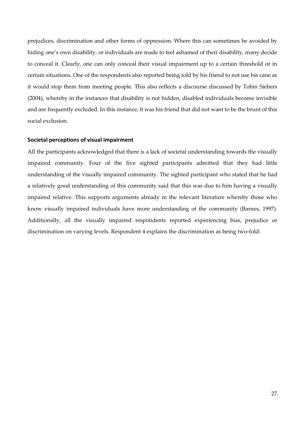prejudices, discrimination and other forms of oppression. Where this can sometimes be avoided by hiding one's own disability, or individuals are made to feel ashamed of their disability, many decide to conceal it. Clearly, one can only conceal their visual impairment up to a certain threshold or in certain situations. One of the respondents also reported being told by his friend to not use his cane as it would stop them from meeting people. This also reflects a discourse discussed by Tobin Siebers (2004), whereby in the instances that disability is not hidden, disabled individuals become invisible and are frequently excluded. In this instance, it was his friend that did not want to be the brunt of this social exclusion.

#### **Societal perceptions of visual impairment**

All the participants acknowledged that there is a lack of societal understanding towards the visually impaired community. Four of the five sighted participants admitted that they had little understanding of the visually impaired community. The sighted participant who stated that he had a relatively good understanding of this community said that this was due to him having a visually impaired relative. This supports arguments already in the relevant literature whereby those who know visually impaired individuals have more understanding of the community (Barnes, 1997). Additionally, all the visually impaired respondents reported experiencing bias, prejudice or discrimination on varying levels. Respondent 4 explains the discrimination as being two-fold: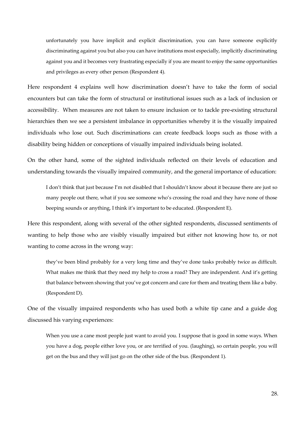unfortunately you have implicit and explicit discrimination, you can have someone explicitly discriminating against you but also you can have institutions most especially, implicitly discriminating against you and it becomes very frustrating especially if you are meant to enjoy the same opportunities and privileges as every other person (Respondent 4).

Here respondent 4 explains well how discrimination doesn't have to take the form of social encounters but can take the form of structural or institutional issues such as a lack of inclusion or accessibility. When measures are not taken to ensure inclusion or to tackle pre-existing structural hierarchies then we see a persistent imbalance in opportunities whereby it is the visually impaired individuals who lose out. Such discriminations can create feedback loops such as those with a disability being hidden or conceptions of visually impaired individuals being isolated.

On the other hand, some of the sighted individuals reflected on their levels of education and understanding towards the visually impaired community, and the general importance of education:

I don't think that just because I'm not disabled that I shouldn't know about it because there are just so many people out there, what if you see someone who's crossing the road and they have none of those beeping sounds or anything, I think it's important to be educated. (Respondent E).

Here this respondent, along with several of the other sighted respondents, discussed sentiments of wanting to help those who are visibly visually impaired but either not knowing how to, or not wanting to come across in the wrong way:

they've been blind probably for a very long time and they've done tasks probably twice as difficult. What makes me think that they need my help to cross a road? They are independent. And it's getting that balance between showing that you've got concern and care for them and treating them like a baby. (Respondent D).

One of the visually impaired respondents who has used both a white tip cane and a guide dog discussed his varying experiences:

When you use a cane most people just want to avoid you. I suppose that is good in some ways. When you have a dog, people either love you, or are terrified of you. (laughing), so certain people, you will get on the bus and they will just go on the other side of the bus. (Respondent 1).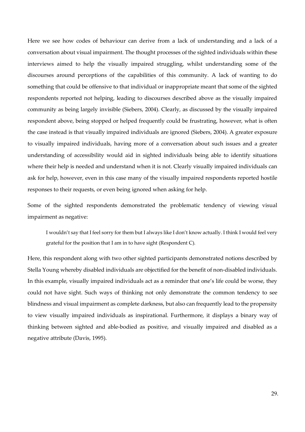Here we see how codes of behaviour can derive from a lack of understanding and a lack of a conversation about visual impairment. The thought processes of the sighted individuals within these interviews aimed to help the visually impaired struggling, whilst understanding some of the discourses around perceptions of the capabilities of this community. A lack of wanting to do something that could be offensive to that individual or inappropriate meant that some of the sighted respondents reported not helping, leading to discourses described above as the visually impaired community as being largely invisible (Siebers, 2004). Clearly, as discussed by the visually impaired respondent above, being stopped or helped frequently could be frustrating, however, what is often the case instead is that visually impaired individuals are ignored (Siebers, 2004). A greater exposure to visually impaired individuals, having more of a conversation about such issues and a greater understanding of accessibility would aid in sighted individuals being able to identify situations where their help is needed and understand when it is not. Clearly visually impaired individuals can ask for help, however, even in this case many of the visually impaired respondents reported hostile responses to their requests, or even being ignored when asking for help.

Some of the sighted respondents demonstrated the problematic tendency of viewing visual impairment as negative:

I wouldn't say that I feel sorry for them but I always like I don't know actually. I think I would feel very grateful for the position that I am in to have sight (Respondent C).

Here, this respondent along with two other sighted participants demonstrated notions described by Stella Young whereby disabled individuals are objectified for the benefit of non-disabled individuals. In this example, visually impaired individuals act as a reminder that one's life could be worse, they could not have sight. Such ways of thinking not only demonstrate the common tendency to see blindness and visual impairment as complete darkness, but also can frequently lead to the propensity to view visually impaired individuals as inspirational. Furthermore, it displays a binary way of thinking between sighted and able-bodied as positive, and visually impaired and disabled as a negative attribute (Davis, 1995).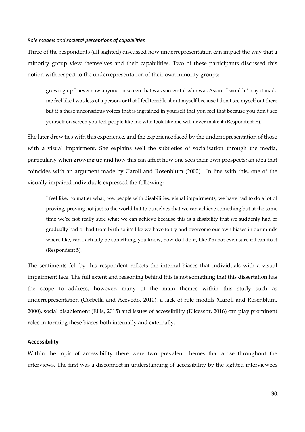#### *Role models and societal perceptions of capabilities*

Three of the respondents (all sighted) discussed how underrepresentation can impact the way that a minority group view themselves and their capabilities. Two of these participants discussed this notion with respect to the underrepresentation of their own minority groups:

growing up I never saw anyone on screen that was successful who was Asian. I wouldn't say it made me feel like I was less of a person, or that I feel terrible about myself because I don't see myself out there but it's these unconscious voices that is ingrained in yourself that you feel that because you don't see yourself on screen you feel people like me who look like me will never make it (Respondent E).

She later drew ties with this experience, and the experience faced by the underrepresentation of those with a visual impairment. She explains well the subtleties of socialisation through the media, particularly when growing up and how this can affect how one sees their own prospects; an idea that coincides with an argument made by Caroll and Rosenblum (2000). In line with this, one of the visually impaired individuals expressed the following:

I feel like, no matter what, we, people with disabilities, visual impairments, we have had to do a lot of proving, proving not just to the world but to ourselves that we can achieve something but at the same time we're not really sure what we can achieve because this is a disability that we suddenly had or gradually had or had from birth so it's like we have to try and overcome our own biases in our minds where like, can I actually be something, you know, how do I do it, like I'm not even sure if I can do it (Respondent 5).

The sentiments felt by this respondent reflects the internal biases that individuals with a visual impairment face. The full extent and reasoning behind this is not something that this dissertation has the scope to address, however, many of the main themes within this study such as underrepresentation (Corbella and Acevedo, 2010), a lack of role models (Caroll and Rosenblum, 2000), social disablement (Ellis, 2015) and issues of accessibility (Ellcessor, 2016) can play prominent roles in forming these biases both internally and externally.

#### **Accessibility**

Within the topic of accessibility there were two prevalent themes that arose throughout the interviews. The first was a disconnect in understanding of accessibility by the sighted interviewees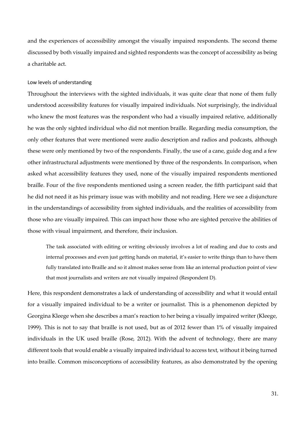and the experiences of accessibility amongst the visually impaired respondents. The second theme discussed by both visually impaired and sighted respondents was the concept of accessibility as being a charitable act.

#### Low levels of understanding

Throughout the interviews with the sighted individuals, it was quite clear that none of them fully understood accessibility features for visually impaired individuals. Not surprisingly, the individual who knew the most features was the respondent who had a visually impaired relative, additionally he was the only sighted individual who did not mention braille. Regarding media consumption, the only other features that were mentioned were audio description and radios and podcasts, although these were only mentioned by two of the respondents. Finally, the use of a cane, guide dog and a few other infrastructural adjustments were mentioned by three of the respondents. In comparison, when asked what accessibility features they used, none of the visually impaired respondents mentioned braille. Four of the five respondents mentioned using a screen reader, the fifth participant said that he did not need it as his primary issue was with mobility and not reading. Here we see a disjuncture in the understandings of accessibility from sighted individuals, and the realities of accessibility from those who are visually impaired. This can impact how those who are sighted perceive the abilities of those with visual impairment, and therefore, their inclusion.

The task associated with editing or writing obviously involves a lot of reading and due to costs and internal processes and even just getting hands on material, it's easier to write things than to have them fully translated into Braille and so it almost makes sense from like an internal production point of view that most journalists and writers are not visually impaired (Respondent D).

Here, this respondent demonstrates a lack of understanding of accessibility and what it would entail for a visually impaired individual to be a writer or journalist. This is a phenomenon depicted by Georgina Kleege when she describes a man's reaction to her being a visually impaired writer (Kleege, 1999). This is not to say that braille is not used, but as of 2012 fewer than 1% of visually impaired individuals in the UK used braille (Rose, 2012). With the advent of technology, there are many different tools that would enable a visually impaired individual to access text, without it being turned into braille. Common misconceptions of accessibility features, as also demonstrated by the opening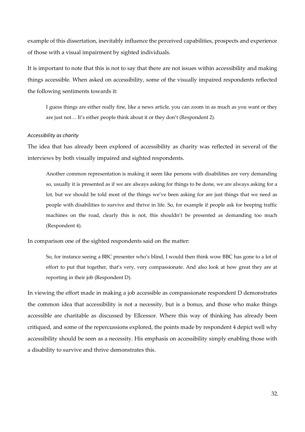example of this dissertation, inevitably influence the perceived capabilities, prospects and experience of those with a visual impairment by sighted individuals.

It is important to note that this is not to say that there are not issues within accessibility and making things accessible. When asked on accessibility, some of the visually impaired respondents reflected the following sentiments towards it:

I guess things are either really fine, like a news article, you can zoom in as much as you want or they are just not… It's either people think about it or they don't (Respondent 2).

#### *Accessibility as charity*

The idea that has already been explored of accessibility as charity was reflected in several of the interviews by both visually impaired and sighted respondents.

Another common representation is making it seem like persons with disabilities are very demanding so, usually it is presented as if we are always asking for things to be done, we are always asking for a lot, but we should be told most of the things we've been asking for are just things that we need as people with disabilities to survive and thrive in life. So, for example if people ask for beeping traffic machines on the road, clearly this is not, this shouldn't be presented as demanding too much (Respondent 4).

In comparison one of the sighted respondents said on the matter:

So, for instance seeing a BBC presenter who's blind, I would then think wow BBC has gone to a lot of effort to put that together, that's very, very compassionate. And also look at how great they are at reporting in their job (Respondent D).

In viewing the effort made in making a job accessible as compassionate respondent D demonstrates the common idea that accessibility is not a necessity, but is a bonus, and those who make things accessible are charitable as discussed by Ellcessor. Where this way of thinking has already been critiqued, and some of the repercussions explored, the points made by respondent 4 depict well why accessibility should be seen as a necessity. His emphasis on accessibility simply enabling those with a disability to survive and thrive demonstrates this.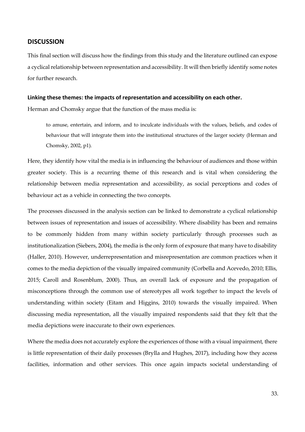#### **DISCUSSION**

This final section will discuss how the findings from this study and the literature outlined can expose a cyclical relationship between representation and accessibility. It will then briefly identify some notes for further research.

#### **Linking these themes: the impacts of representation and accessibility on each other.**

Herman and Chomsky argue that the function of the mass media is:

to amuse, entertain, and inform, and to inculcate individuals with the values, beliefs, and codes of behaviour that will integrate them into the institutional structures of the larger society (Herman and Chomsky, 2002, p1).

Here, they identify how vital the media is in influencing the behaviour of audiences and those within greater society. This is a recurring theme of this research and is vital when considering the relationship between media representation and accessibility, as social perceptions and codes of behaviour act as a vehicle in connecting the two concepts.

The processes discussed in the analysis section can be linked to demonstrate a cyclical relationship between issues of representation and issues of accessibility. Where disability has been and remains to be commonly hidden from many within society particularly through processes such as institutionalization (Siebers, 2004), the media is the only form of exposure that many have to disability (Haller, 2010). However, underrepresentation and misrepresentation are common practices when it comes to the media depiction of the visually impaired community (Corbella and Acevedo, 2010; Ellis, 2015; Caroll and Rosenblum, 2000). Thus, an overall lack of exposure and the propagation of misconceptions through the common use of stereotypes all work together to impact the levels of understanding within society (Eitam and Higgins, 2010) towards the visually impaired. When discussing media representation, all the visually impaired respondents said that they felt that the media depictions were inaccurate to their own experiences.

Where the media does not accurately explore the experiences of those with a visual impairment, there is little representation of their daily processes (Brylla and Hughes, 2017), including how they access facilities, information and other services. This once again impacts societal understanding of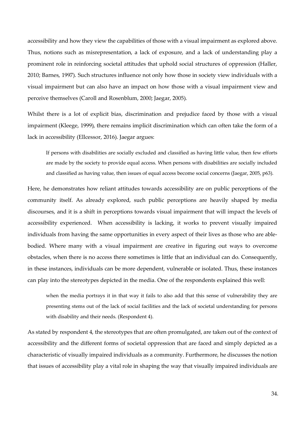accessibility and how they view the capabilities of those with a visual impairment as explored above. Thus, notions such as misrepresentation, a lack of exposure, and a lack of understanding play a prominent role in reinforcing societal attitudes that uphold social structures of oppression (Haller, 2010; Barnes, 1997). Such structures influence not only how those in society view individuals with a visual impairment but can also have an impact on how those with a visual impairment view and perceive themselves (Caroll and Rosenblum, 2000; Jaegar, 2005).

Whilst there is a lot of explicit bias, discrimination and prejudice faced by those with a visual impairment (Kleege, 1999), there remains implicit discrimination which can often take the form of a lack in accessibility (Ellcessor, 2016). Jaegar argues:

If persons with disabilities are socially excluded and classified as having little value, then few efforts are made by the society to provide equal access. When persons with disabilities are socially included and classified as having value, then issues of equal access become social concerns (Jaegar, 2005, p63).

Here, he demonstrates how reliant attitudes towards accessibility are on public perceptions of the community itself. As already explored, such public perceptions are heavily shaped by media discourses, and it is a shift in perceptions towards visual impairment that will impact the levels of accessibility experienced. When accessibility is lacking, it works to prevent visually impaired individuals from having the same opportunities in every aspect of their lives as those who are ablebodied. Where many with a visual impairment are creative in figuring out ways to overcome obstacles, when there is no access there sometimes is little that an individual can do. Consequently, in these instances, individuals can be more dependent, vulnerable or isolated. Thus, these instances can play into the stereotypes depicted in the media. One of the respondents explained this well:

when the media portrays it in that way it fails to also add that this sense of vulnerability they are presenting stems out of the lack of social facilities and the lack of societal understanding for persons with disability and their needs. (Respondent 4).

As stated by respondent 4, the stereotypes that are often promulgated, are taken out of the context of accessibility and the different forms of societal oppression that are faced and simply depicted as a characteristic of visually impaired individuals as a community. Furthermore, he discusses the notion that issues of accessibility play a vital role in shaping the way that visually impaired individuals are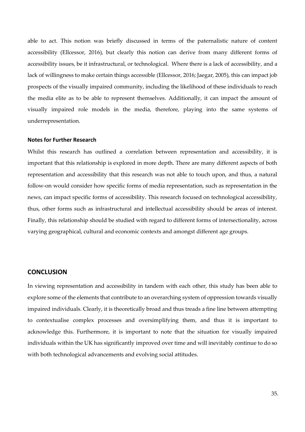able to act. This notion was briefly discussed in terms of the paternalistic nature of content accessibility (Ellcessor, 2016), but clearly this notion can derive from many different forms of accessibility issues, be it infrastructural, or technological. Where there is a lack of accessibility, and a lack of willingness to make certain things accessible (Ellcessor, 2016; Jaegar, 2005), this can impact job prospects of the visually impaired community, including the likelihood of these individuals to reach the media elite as to be able to represent themselves. Additionally, it can impact the amount of visually impaired role models in the media, therefore, playing into the same systems of underrepresentation.

#### **Notes for Further Research**

Whilst this research has outlined a correlation between representation and accessibility, it is important that this relationship is explored in more depth. There are many different aspects of both representation and accessibility that this research was not able to touch upon, and thus, a natural follow-on would consider how specific forms of media representation, such as representation in the news, can impact specific forms of accessibility. This research focused on technological accessibility, thus, other forms such as infrastructural and intellectual accessibility should be areas of interest. Finally, this relationship should be studied with regard to different forms of intersectionality, across varying geographical, cultural and economic contexts and amongst different age groups.

### **CONCLUSION**

In viewing representation and accessibility in tandem with each other, this study has been able to explore some of the elements that contribute to an overarching system of oppression towards visually impaired individuals. Clearly, it is theoretically broad and thus treads a fine line between attempting to contextualise complex processes and oversimplifying them, and thus it is important to acknowledge this. Furthermore, it is important to note that the situation for visually impaired individuals within the UK has significantly improved over time and will inevitably continue to do so with both technological advancements and evolving social attitudes.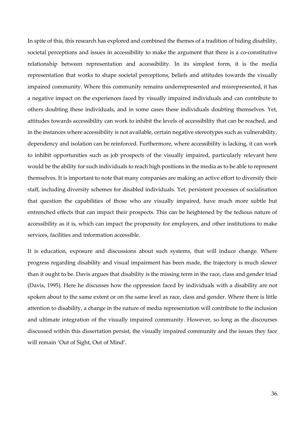In spite of this, this research has explored and combined the themes of a tradition of hiding disability, societal perceptions and issues in accessibility to make the argument that there is a co-constitutive relationship between representation and accessibility. In its simplest form, it is the media representation that works to shape societal perceptions, beliefs and attitudes towards the visually impaired community. Where this community remains underrepresented and misrepresented, it has a negative impact on the experiences faced by visually impaired individuals and can contribute to others doubting these individuals, and in some cases these individuals doubting themselves. Yet, attitudes towards accessibility can work to inhibit the levels of accessibility that can be reached, and in the instances where accessibility is not available, certain negative stereotypes such as vulnerability, dependency and isolation can be reinforced. Furthermore, where accessibility is lacking, it can work to inhibit opportunities such as job prospects of the visually impaired, particularly relevant here would be the ability for such individuals to reach high positions in the media as to be able to represent themselves. It is important to note that many companies are making an active effort to diversify their staff, including diversity schemes for disabled individuals. Yet, persistent processes of socialisation that question the capabilities of those who are visually impaired, have much more subtle but entrenched effects that can impact their prospects. This can be heightened by the tedious nature of accessibility as it is, which can impact the propensity for employers, and other institutions to make services, facilities and information accessible.

It is education, exposure and discussions about such systems, that will induce change. Where progress regarding disability and visual impairment has been made, the trajectory is much slower than it ought to be. Davis argues that disability is the missing term in the race, class and gender triad (Davis, 1995). Here he discusses how the oppression faced by individuals with a disability are not spoken about to the same extent or on the same level as race, class and gender. Where there is little attention to disability, a change in the nature of media representation will contribute to the inclusion and ultimate integration of the visually impaired community. However, so long as the discourses discussed within this dissertation persist, the visually impaired community and the issues they face will remain 'Out of Sight, Out of Mind'.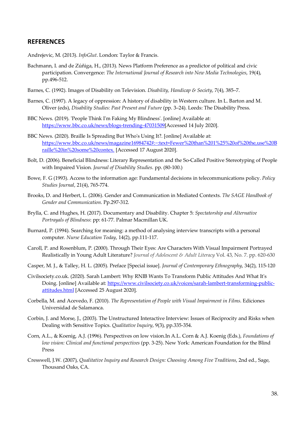# **REFERENCES**

Andrejevic, M. (2013). *InfoGlut*. London: Taylor & Francis.

- Bachmann, I. and de Zúñiga, H., (2013). News Platform Preference as a predictor of political and civic participation. Convergence: *The International Journal of Research into New Media Technologies*, 19(4), pp.496-512.
- Barnes, C. (1992). Images of Disability on Television. *Disability, Handicap & Society*, 7(4), 385–7.
- Barnes, C. (1997). A legacy of oppression: A history of disability in Western culture. In L. Barton and M. Oliver (eds), *Disability Studies: Past Present and Future* (pp. 3–24). Leeds: The Disability Press.
- BBC News. (2019). 'People Think I'm Faking My Blindness'. [online] Available at: https://www.bbc.co.uk/news/blogs-trending-47031509[Accessed 14 July 2020].
- BBC News. (2020). Braille Is Spreading But Who's Using It?. [online] Available at: https://www.bbc.co.uk/news/magazine16984742#:~:text=Fewer%20than%201%25%20of%20the,use%20B raille%20in%20some%20contex. [Accessed 17 August 2020].
- Bolt, D. (2006). Beneficial Blindness: Literary Representation and the So-Called Positive Stereotyping of People with Impaired Vision*. Journal of Disability Studies*. pp. (80-100.)
- Bowe, F. G (1993). Access to the information age: Fundamental decisions in telecommunications policy. *Policy Studies Journal*, 21(4), 765-774.
- Brooks, D. and Herbert, L. (2006). Gender and Communication in Mediated Contexts. *The SAGE Handbook of Gender and Communication*. Pp.297-312.
- Brylla, C. and Hughes, H. (2017). Documentary and Disability. Chapter 5: *Spectatorship and Alternative Portrayals of Blindness*: pp: 61-77. Palmar Macmillan UK.
- Burnard, P. (1994). Searching for meaning: a method of analysing interview transcripts with a personal computer*. Nurse Education Today*, 14(2), pp.111-117.
- Caroll, P. and Rosenblum, P. (2000). Through Their Eyes: Are Characters With Visual Impairment Portrayed Realistically in Young Adult Literature? *Journal of Adolescent & Adult Literacy* Vol. 43, No. 7. pp. 620-630
- Casper, M. J., & Talley, H. L. (2005). Preface [Special issue]. *Journal of Contemporary Ethnography*, 34(2), 115-120
- Civilsociety.co.uk. (2020). Sarah Lambert: Why RNIB Wants To Transform Public Attitudes And What It's Doing. [online] Available at: https://www.civilsociety.co.uk/voices/sarah-lambert-transforming-publicattitudes.html [Accessed 25 August 2020].
- Corbella, M. and Acevedo, F. (2010). *The Representation of People with Visual Impairment in Films*. Ediciones Universidad de Salamanca.
- Corbin, J. and Morse, J., (2003). The Unstructured Interactive Interview: Issues of Reciprocity and Risks when Dealing with Sensitive Topics. *Qualitative Inquiry*, 9(3), pp.335-354.
- Corn, A.L., & Koenig, A.J. (1996). Perspectives on low vision.In A.L. Corn & A.J. Koenig (Eds.), *Foundations of low vision: Clinical and functional perspectives* (pp. 3-25). New York: American Foundation for the Blind Press
- Cresswell, J.W. (2007), *Qualitative Inquiry and Research Design: Choosing Among Five Traditions*, 2nd ed., Sage, Thousand Oaks, CA.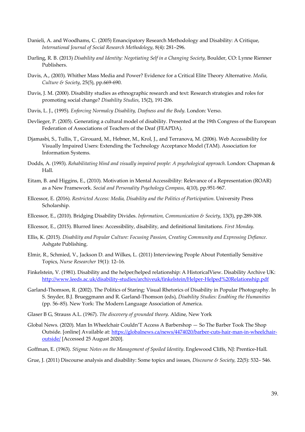- Danieli, A. and Woodhams, C. (2005) Emancipatory Research Methodology and Disability: A Critique, *International Journal of Social Research Methodology*, 8(4): 281–296.
- Darling, R. B. (2013) *Disability and Identity: Negotiating Self in a Changing Society*, Boulder, CO: Lynne Rienner Publishers.
- Davis, A., (2003). Whither Mass Media and Power? Evidence for a Critical Elite Theory Alternative. *Media, Culture & Society*, 25(5), pp.669-690.
- Davis, J. M. (2000). Disability studies as ethnographic research and text: Research strategies and roles for promoting social change? *Disability Studies*, 15(2), 191-206.
- Davis, L. J., (1995). *Enforcing Normalcy Disability, Deafness and the Body*. London: Verso.
- Devlieger, P. (2005). Generating a cultural model of disability. Presented at the 19th Congress of the European Federation of Associations of Teachers of the Deaf (FEAPDA).
- Djamasbi, S., Tullis, T., Girouard, M., Hebner, M., Krol, J., and Terranova, M. (2006). Web Accessibility for Visually Impaired Users: Extending the Technology Acceptance Model (TAM). Association for Information Systems.
- Dodds, A. (1993). *Rehabilitating blind and visually impaired people: A psychological approach*. London: Chapman & Hall.
- Eitam, B. and Higgins, E., (2010). Motivation in Mental Accessibility: Relevance of a Representation (ROAR) as a New Framework. *Social and Personality Psychology Compass*, 4(10), pp.951-967.
- Ellcessor, E. (2016). *Restricted Access: Media, Disability and the Politics of Participation*. University Press Scholarship.
- Ellcessor, E., (2010). Bridging Disability Divides. *Information, Communication & Society*, 13(3), pp.289-308.
- Ellcessor, E., (2015). Blurred lines: Accessibility, disability, and definitional limitations. *First Monday*.
- Ellis, K. (2015). *Disability and Popular Culture: Focusing Passion, Creating Community and Expressing Defiance*. Ashgate Publishing.
- Elmir, R., Schmied, V., Jackson D. and Wilkes, L. (2011) Interviewing People About Potentially Sensitive Topics, *Nurse Researcher* 19(1): 12–16.
- Finkelstein, V. (1981). Disability and the helper/helped relationship: A HistoricalView. Disability Archive UK: http://www.leeds.ac.uk/disability-studies/archiveuk/finkelstein/Helper-Helped%20Relationship.pdf
- Garland-Thomson, R. (2002). The Politics of Staring: Visual Rhetorics of Disability in Popular Photography. In S. Snyder, B.J. Brueggmann and R. Garland-Thomson (eds), *Disability Studies: Enabling the Humanities* (pp. 56–85). New York: The Modern Language Association of America.
- Glaser B G, Strauss A.L. (1967). *The discovery of grounded theory*. Aldine, New York
- Global News. (2020). Man In Wheelchair Couldn'T Access A Barbershop So The Barber Took The Shop Outside. [online] Available at: https://globalnews.ca/news/4474020/barber-cuts-hair-man-in-wheelchairoutside/ [Accessed 25 August 2020].
- Goffman, E. (1963). *Stigma: Notes on the Management of Spoiled Identity*. Englewood Cliffs, NJ: Prentice-Hall.
- Grue, J. (2011) Discourse analysis and disability: Some topics and issues, *Discourse & Society,* 22(5): 532– 546.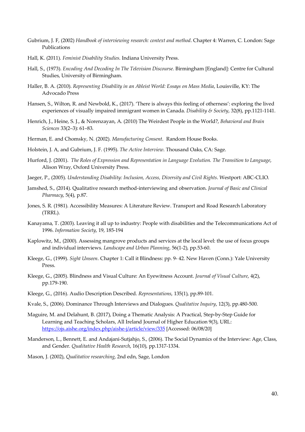- Gubrium, J. F, (2002) *Handbook of interviewing research: context and method*. Chapter 4: Warren, C. London: Sage Publications
- Hall, K. (2011). *Feminist Disability Studies*. Indiana University Press.
- Hall, S., (1973). *Encoding And Decoding In The Television Discourse.* Birmingham [England]: Centre for Cultural Studies, University of Birmingham.
- Haller, B. A. (2010). *Representing Disability in an Ableist World: Essays on Mass Media*, Louisville, KY: The Advocado Press
- Hansen, S., Wilton, R. and Newbold, K., (2017). 'There is always this feeling of otherness': exploring the lived experiences of visually impaired immigrant women in Canada. *Disability & Society*, 32(8), pp.1121-1141.
- Henrich, J., Heine, S. J., & Norenzayan, A. (2010) The Weirdest People in the World?, *Behavioral and Brain Sciences* 33(2–3): 61–83.
- Herman, E. and Chomsky, N. (2002). *Manufacturing Consent*. Random House Books.
- Holstein, J. A, and Gubrium, J. F. (1995). *The Active Interview*. Thousand Oaks, CA: Sage.
- Hurford, J. (2001). *The Roles of Expression and Representation in Language Evolution. The Transition to Language*, Alison Wray, Oxford University Press.
- Jaeger, P., (2005). *Understanding Disability: Inclusion, Access, Diversity and Civil Rights*. Westport: ABC-CLIO.
- Jamshed, S., (2014). Qualitative research method-interviewing and observation. *Journal of Basic and Clinical Pharmacy*, 5(4), p.87.
- Jones, S. R. (1981). Accessibility Measures: A Literature Review. Transport and Road Research Laboratory (TRRL).
- Kanayama, T. (2003). Leaving it all up to industry: People with disabilities and the Telecommunications Act of 1996. *Information Society*, 19, 185-194
- Kaplowitz, M., (2000). Assessing mangrove products and services at the local level: the use of focus groups and individual interviews. *Landscape and Urban Planning*, 56(1-2), pp.53-60.
- Kleege, G., (1999). *Sight Unseen*. Chapter 1: Call it Blindness: pp. 9- 42. New Haven (Conn.): Yale University Press.
- Kleege, G., (2005). Blindness and Visual Culture: An Eyewitness Account. *Journal of Visual Culture*, 4(2), pp.179-190.
- Kleege, G., (2016). Audio Description Described. *Representations*, 135(1), pp.89-101.
- Kvale, S., (2006). Dominance Through Interviews and Dialogues. *Qualitative Inquiry*, 12(3), pp.480-500.
- Maguire, M. and Delahunt, B. (2017), Doing a Thematic Analysis: A Practical, Step-by-Step Guide for Learning and Teaching Scholars, All Ireland Journal of Higher Education 9(3), URL: https://ojs.aishe.org/index.php/aishe-j/article/view/335 [Accessed: 06/08/20]
- Manderson, L., Bennett, E. and Andajani-Sutjahjo, S., (2006). The Social Dynamics of the Interview: Age, Class, and Gender. *Qualitative Health Research*, 16(10), pp.1317-1334.
- Mason, J. (2002), *Qualitative researching*, 2nd edn, Sage, London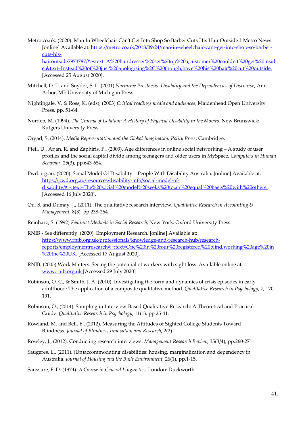- Metro.co.uk. (2020). Man In Wheelchair Can't Get Into Shop So Barber Cuts His Hair Outside | Metro News. [online] Available at: https://metro.co.uk/2018/09/24/man-in-wheelchair-cant-get-into-shop-so-barbercuts-hishairoutside7973787/#:~:text=A%20hairdresser%20set%20up%20a,customer%20couldn't%20get%20insid e.&text=Instead%20of%20just%20apologising%2C%20though,have%20his%20hair%20cut%20outside. [Accessed 25 August 2020].
- Mitchell, D. T. and Snyder, S. L. (2001) *Narrative Prosthesis: Disability and the Dependencies of Discourse*, Ann Arbor, MI: University of Michigan Press.
- Nightingale, V. & Ross, K. (eds), (2003) *Critical readings media and audiences*, Maidenhead:Open University Press, pp. 51-64.
- Norden, M. (1994). *The Cinema of Isolation: A History of Physical Disability in the Movies*. New Brunswick: Rutgers University Press.
- Orgad, S. (2014). *Media Representation and the Global Imagination Polity Press*, Cambridge.
- Pfeil, U., Arjan, R. and Zaphiris, P., (2009). Age differences in online social networking A study of user profiles and the social capital divide among teenagers and older users in MySpace. *Computers in Human Behavior*, 25(3), pp.643-654.
- Pwd.org.au. (2020). Social Model Of Disability People With Disability Australia. [online] Available at: https://pwd.org.au/resources/disability-info/social-model-ofdisability/#:~:text=The%20social%20model%20seeks%20to,an%20equal%20basis%20with%20others. [Accessed 16 July 2020].
- Qu, S. and Dumay, J., (2011). The qualitative research interview. *Qualitative Research in Accounting & Management*, 8(3), pp.238-264.
- Reinharz, S. (1992) *Feminist Methods in Social Research*, New York: Oxford University Press.
- RNIB See differently. (2020). Employment Research. [online] Available at: https://www.rnib.org.uk/professionals/knowledge-and-research-hub/researchreports/employmentresearch#:~:text=One%20in%20four%20registered%20blind,working%20age%20in %20the%20UK. [Accessed 17 August 2020].
- RNIB. (2005) Work Matters: Seeing the potential of workers with sight loss. Available online at: www.rnib.org.uk [Accessed 29 July 2020]
- Robinson, O. C., & Smith, J. A. (2010). Investigating the form and dynamics of crisis episodes in early adulthood: The application of a composite qualitative method. *Qualitative Research in Psychology*, 7, 170- 191.
- Robinson, O., (2014). Sampling in Interview-Based Qualitative Research: A Theoretical and Practical Guide. *Qualitative Research in Psychology*, 11(1), pp.25-41.
- Rowland, M. and Bell, E., (2012). Measuring the Attitudes of Sighted College Students Toward Blindness. *Journal of Blindness Innovation and Research*, 2(2).
- Rowley, J., (2012). Conducting research interviews. *Management Research Review*, 35(3/4), pp.260-271
- Saugeres, L., (2011). (Un)accommodating disabilities: housing, marginalization and dependency in Australia. *Journal of Housing and the Built Environment*, 26(1), pp.1-15.
- Saussure, F. D. (1974). *A Course in General Linguistics*. London: Duckworth.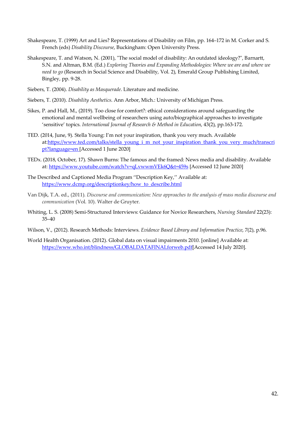- Shakespeare, T. (1999) Art and Lies? Representations of Disability on Film, pp. 164–172 in M. Corker and S. French (eds) *Disability Discourse*, Buckingham: Open University Press.
- Shakespeare, T. and Watson, N. (2001), "The social model of disability: An outdated ideology?", Barnartt, S.N. and Altman, B.M. (Ed.) *Exploring Theories and Expanding Methodologies: Where we are and where we need to go* (Research in Social Science and Disability, Vol. 2), Emerald Group Publishing Limited, Bingley, pp. 9-28.
- Siebers, T. (2004). *Disability as Masquerade*. Literature and medicine.
- Siebers, T. (2010). *Disability Aesthetics*. Ann Arbor, Mich.: University of Michigan Press.
- Sikes, P. and Hall, M., (2019). Too close for comfort?: ethical considerations around safeguarding the emotional and mental wellbeing of researchers using auto/biographical approaches to investigate 'sensitive' topics. *International Journal of Research & Method in Education*, 43(2), pp.163-172.
- TED. (2014, June, 9). Stella Young: I'm not your inspiration, thank you very much. Available at:https://www.ted.com/talks/stella\_young\_i\_m\_not\_your\_inspiration\_thank\_you\_very\_much/transcri pt?language=en [Accessed 1 June 2020]
- TEDx. (2018, October, 17). Shawn Burns: The famous and the framed: News media and disability. Available at: https://www.youtube.com/watch?v=qLvwwmVEk6Q&t=459s [Accessed 12 June 2020]
- The Described and Captioned Media Program ''Description Key,'' Available at: https://www.dcmp.org/descriptionkey/how\_to\_describe.html
- Van Dijk, T.A. ed., (2011). *Discourse and communication: New approaches to the analysis of mass media discourse and communication* (Vol. 10). Walter de Gruyter.
- Whiting, L. S. (2008) Semi-Structured Interviews: Guidance for Novice Researchers, *Nursing Standard* 22(23): 35–40
- Wilson, V., (2012). Research Methods: Interviews. *Evidence Based Library and Information Practice*, 7(2), p.96.
- World Health Organisation. (2012). Global data on visual impairments 2010. [online] Available at: https://www.who.int/blindness/GLOBALDATAFINALforweb.pdf[Accessed 14 July 2020].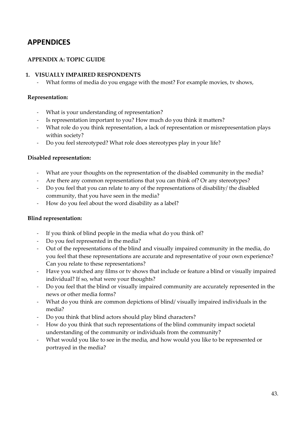# **APPENDICES**

# **APPENDIX A: TOPIC GUIDE**

# **1. VISUALLY IMPAIRED RESPONDENTS**

What forms of media do you engage with the most? For example movies, tv shows,

# **Representation:**

- What is your understanding of representation?
- Is representation important to you? How much do you think it matters?
- What role do you think representation, a lack of representation or misrepresentation plays within society?
- Do you feel stereotyped? What role does stereotypes play in your life?

# **Disabled representation:**

- What are your thoughts on the representation of the disabled community in the media?
- Are there any common representations that you can think of? Or any stereotypes?
- Do you feel that you can relate to any of the representations of disability/ the disabled community, that you have seen in the media?
- How do you feel about the word disability as a label?

# **Blind representation:**

- If you think of blind people in the media what do you think of?
- Do you feel represented in the media?
- Out of the representations of the blind and visually impaired community in the media, do you feel that these representations are accurate and representative of your own experience? Can you relate to these representations?
- Have you watched any films or tv shows that include or feature a blind or visually impaired individual? If so, what were your thoughts?
- Do you feel that the blind or visually impaired community are accurately represented in the news or other media forms?
- What do you think are common depictions of blind/ visually impaired individuals in the media?
- Do you think that blind actors should play blind characters?
- How do you think that such representations of the blind community impact societal understanding of the community or individuals from the community?
- What would you like to see in the media, and how would you like to be represented or portrayed in the media?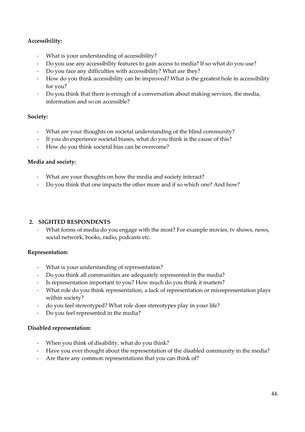# **Accessibility:**

- What is your understanding of accessibility?
- Do you use any accessibility features to gain access to media? If so what do you use?
- Do you face any difficulties with accessibility? What are they?
- How do you think accessibility can be improved? What is the greatest hole in accessibility for you?
- Do you think that there is enough of a conversation about making services, the media, information and so on accessible?

# **Society:**

- What are your thoughts on societal understanding of the blind community?
- If you do experience societal biases, what do you think is the cause of this?
- How do you think societal bias can be overcome?

# **Media and society:**

- What are your thoughts on how the media and society interact?
- Do you think that one impacts the other more and if so which one? And how?

# **2. SIGHTED RESPONDENTS**

What forms of media do you engage with the most? For example movies, tv shows, news, social network, books, radio, podcasts etc.

# **Representation:**

- What is your understanding of representation?
- Do you think all communities are adequately represented in the media?
- Is representation important to you? How much do you think it matters?
- What role do you think representation, a lack of representation or misrepresentation plays within society?
- do you feel stereotyped? What role does stereotypes play in your life?
- Do you feel represented in the media?

# **Disabled representation:**

- When you think of disability, what do you think?
- Have you ever thought about the representation of the disabled community in the media?
- Are there any common representations that you can think of?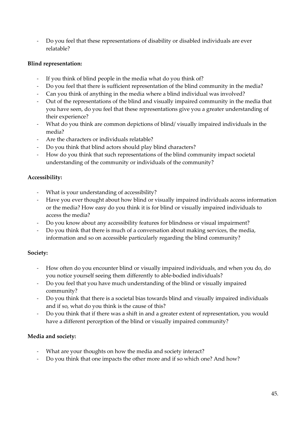- Do you feel that these representations of disability or disabled individuals are ever relatable?

# **Blind representation:**

- If you think of blind people in the media what do you think of?
- Do you feel that there is sufficient representation of the blind community in the media?
- Can you think of anything in the media where a blind individual was involved?
- Out of the representations of the blind and visually impaired community in the media that you have seen, do you feel that these representations give you a greater understanding of their experience?
- What do you think are common depictions of blind/ visually impaired individuals in the media?
- Are the characters or individuals relatable?
- Do you think that blind actors should play blind characters?
- How do you think that such representations of the blind community impact societal understanding of the community or individuals of the community?

# **Accessibility:**

- What is your understanding of accessibility?
- Have you ever thought about how blind or visually impaired individuals access information or the media? How easy do you think it is for blind or visually impaired individuals to access the media?
- Do you know about any accessibility features for blindness or visual impairment?
- Do you think that there is much of a conversation about making services, the media, information and so on accessible particularly regarding the blind community?

# **Society:**

- How often do you encounter blind or visually impaired individuals, and when you do, do you notice yourself seeing them differently to able-bodied individuals?
- Do you feel that you have much understanding of the blind or visually impaired community?
- Do you think that there is a societal bias towards blind and visually impaired individuals and if so, what do you think is the cause of this?
- Do you think that if there was a shift in and a greater extent of representation, you would have a different perception of the blind or visually impaired community?

# **Media and society:**

- What are your thoughts on how the media and society interact?
- Do you think that one impacts the other more and if so which one? And how?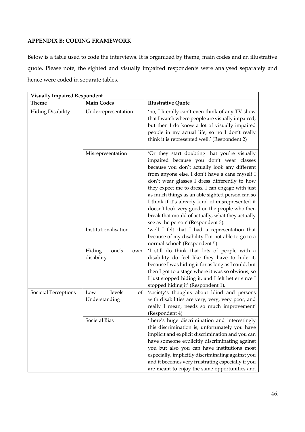# **APPENDIX B: CODING FRAMEWORK**

Below is a table used to code the interviews. It is organized by theme, main codes and an illustrative quote. Please note, the sighted and visually impaired respondents were analysed separately and hence were coded in separate tables.

| <b>Visually Impaired Respondent</b> |                                      |                                                                                                                                                                                                                                                                                                                                                                                                                                                                                                                                                   |  |  |
|-------------------------------------|--------------------------------------|---------------------------------------------------------------------------------------------------------------------------------------------------------------------------------------------------------------------------------------------------------------------------------------------------------------------------------------------------------------------------------------------------------------------------------------------------------------------------------------------------------------------------------------------------|--|--|
| Theme                               | <b>Main Codes</b>                    | <b>Illustrative Quote</b>                                                                                                                                                                                                                                                                                                                                                                                                                                                                                                                         |  |  |
| <b>Hiding Disability</b>            | Underrepresentation                  | 'no, I literally can't even think of any TV show<br>that I watch where people are visually impaired,<br>but then I do know a lot of visually impaired<br>people in my actual life, so no I don't really<br>think it is represented well.' (Respondent 2)                                                                                                                                                                                                                                                                                          |  |  |
|                                     | Misrepresentation                    | 'Or they start doubting that you're visually<br>impaired because you don't wear classes<br>because you don't actually look any different<br>from anyone else, I don't have a cane myself I<br>don't wear glasses I dress differently to how<br>they expect me to dress, I can engage with just<br>as much things as an able sighted person can so<br>I think if it's already kind of misrepresented it<br>doesn't look very good on the people who then<br>break that mould of actually, what they actually<br>see as the person' (Respondent 3). |  |  |
|                                     | Institutionalisation                 | 'well I felt that I had a representation that<br>because of my disability I'm not able to go to a<br>normal school' (Respondent 5)                                                                                                                                                                                                                                                                                                                                                                                                                |  |  |
|                                     | Hiding<br>one's<br>own<br>disability | 'I still do think that lots of people with a<br>disability do feel like they have to hide it,<br>because I was hiding it for as long as I could, but<br>then I got to a stage where it was so obvious, so<br>I just stopped hiding it, and I felt better since I<br>stopped hiding it' (Respondent 1).                                                                                                                                                                                                                                            |  |  |
| Societal Perceptions                | levels<br>Low<br>of<br>Understanding | 'society's thoughts about blind and persons<br>with disabilities are very, very, very poor, and<br>really I mean, needs so much improvement'<br>(Respondent 4)                                                                                                                                                                                                                                                                                                                                                                                    |  |  |
|                                     | Societal Bias                        | 'there's huge discrimination and interestingly<br>this discrimination is, unfortunately you have<br>implicit and explicit discrimination and you can<br>have someone explicitly discriminating against<br>you but also you can have institutions most<br>especially, implicitly discriminating against you<br>and it becomes very frustrating especially if you<br>are meant to enjoy the same opportunities and                                                                                                                                  |  |  |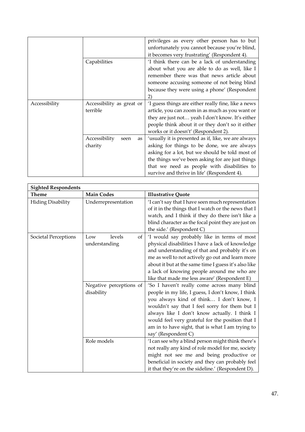|               |                             | privileges as every other person has to but                                                    |
|---------------|-----------------------------|------------------------------------------------------------------------------------------------|
|               |                             | unfortunately you cannot because you're blind,<br>it becomes very frustrating' (Respondent 4). |
|               | Capabilities                | 'I think there can be a lack of understanding                                                  |
|               |                             | about what you are able to do as well, like I                                                  |
|               |                             | remember there was that news article about                                                     |
|               |                             |                                                                                                |
|               |                             | someone accusing someone of not being blind                                                    |
|               |                             | because they were using a phone' (Respondent                                                   |
|               |                             | 2)                                                                                             |
| Accessibility | Accessibility as great or   | 'I guess things are either really fine, like a news                                            |
|               | terrible                    | article, you can zoom in as much as you want or                                                |
|               |                             | they are just not yeah I don't know. It's either                                               |
|               |                             | people think about it or they don't so it either                                               |
|               |                             | works or it doesn't' (Respondent 2).                                                           |
|               | Accessibility<br>seen<br>as | 'usually it is presented as if, like, we are always                                            |
|               | charity                     | asking for things to be done, we are always                                                    |
|               |                             | asking for a lot, but we should be told most of                                                |
|               |                             | the things we've been asking for are just things                                               |
|               |                             | that we need as people with disabilities to                                                    |
|               |                             | survive and thrive in life' (Respondent 4).                                                    |

| <b>Sighted Respondents</b>  |                                                                               |                                                                                                                                                                                                                                                                                                                                                                                                                                                                                                                                                                                                                                                                                                                                             |  |
|-----------------------------|-------------------------------------------------------------------------------|---------------------------------------------------------------------------------------------------------------------------------------------------------------------------------------------------------------------------------------------------------------------------------------------------------------------------------------------------------------------------------------------------------------------------------------------------------------------------------------------------------------------------------------------------------------------------------------------------------------------------------------------------------------------------------------------------------------------------------------------|--|
| Theme                       | <b>Main Codes</b>                                                             | <b>Illustrative Quote</b>                                                                                                                                                                                                                                                                                                                                                                                                                                                                                                                                                                                                                                                                                                                   |  |
| <b>Hiding Disability</b>    | Underrepresentation                                                           | 'I can't say that I have seen much representation<br>of it in the things that I watch or the news that I<br>watch, and I think if they do there isn't like a<br>blind character as the focal point they are just on<br>the side.' (Respondent C)                                                                                                                                                                                                                                                                                                                                                                                                                                                                                            |  |
| <b>Societal Perceptions</b> | levels<br>Low<br>of<br>understanding<br>Negative perceptions of<br>disability | 'I would say probably like in terms of most<br>physical disabilities I have a lack of knowledge<br>and understanding of that and probably it's on<br>me as well to not actively go out and learn more<br>about it but at the same time I guess it's also like<br>a lack of knowing people around me who are<br>like that made me less aware' (Respondent E)<br>'So I haven't really come across many blind<br>people in my life, I guess, I don't know, I think<br>you always kind of think I don't know, I<br>wouldn't say that I feel sorry for them but I<br>always like I don't know actually. I think I<br>would feel very grateful for the position that I<br>am in to have sight, that is what I am trying to<br>say' (Respondent C) |  |
|                             | Role models                                                                   | 'I can see why a blind person might think there's<br>not really any kind of role model for me, society<br>might not see me and being productive or<br>beneficial in society and they can probably feel<br>it that they're on the sideline.' (Respondent D).                                                                                                                                                                                                                                                                                                                                                                                                                                                                                 |  |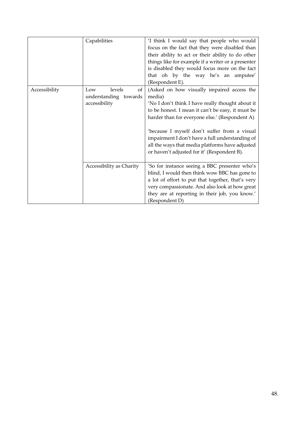|               | Capabilities                                                  | 'I think I would say that people who would<br>focus on the fact that they were disabled than<br>their ability to act or their ability to do other<br>things like for example if a writer or a presenter<br>is disabled they would focus more on the fact<br>that oh by the way he's an amputee'<br>(Respondent E).                                                                                                   |
|---------------|---------------------------------------------------------------|----------------------------------------------------------------------------------------------------------------------------------------------------------------------------------------------------------------------------------------------------------------------------------------------------------------------------------------------------------------------------------------------------------------------|
| Accessibility | levels<br>of<br>Low<br>understanding towards<br>accessibility | (Asked on how visually impaired access the<br>media)<br>'No I don't think I have really thought about it<br>to be honest. I mean it can't be easy, it must be<br>harder than for everyone else.' (Respondent A)<br>'because I myself don't suffer from a visual<br>impairment I don't have a full understanding of<br>all the ways that media platforms have adjusted<br>or haven't adjusted for it' (Respondent B). |
|               | Accessibility as Charity                                      | 'So for instance seeing a BBC presenter who's<br>blind, I would then think wow BBC has gone to<br>a lot of effort to put that together, that's very<br>very compassionate. And also look at how great<br>they are at reporting in their job, you know.'<br>(Respondent D)                                                                                                                                            |